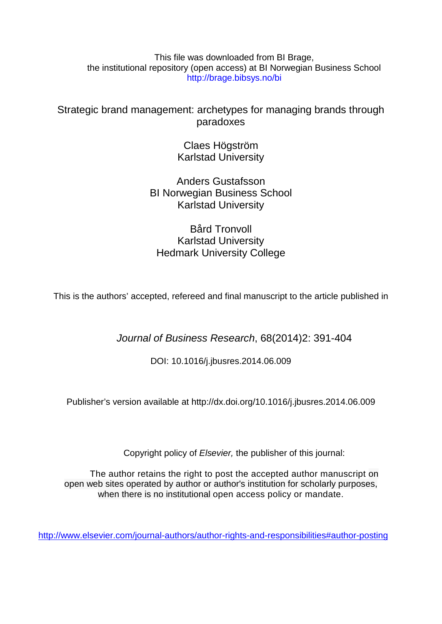This file was downloaded from BI Brage, the institutional repository (open access) at BI Norwegian Business School http://brage.bibsys.no/bi

Strategic brand management: archetypes for managing brands through paradoxes

> Claes Högström Karlstad University

Anders Gustafsson BI Norwegian Business School Karlstad University

Bård Tronvoll Karlstad University Hedmark University College

This is the authors' accepted, refereed and final manuscript to the article published in

*Journal of Business Research*, 68(2014)2: 391-404

DOI: 10.1016/j.jbusres.2014.06.009

Publisher's version available at http://dx.doi.org/10.1016/j.jbusres.2014.06.009

Copyright policy of *Elsevier,* the publisher of this journal:

The author retains the right to post the accepted author manuscript on open web sites operated by author or author's institution for scholarly purposes, when there is no institutional open access policy or mandate.

[http://www.elsevier.com/journal-authors/author-rights-and-responsibilities#author-posting](http://www.elsevier.com/journal-authors/author-rights-and-responsibilities%23author-posting)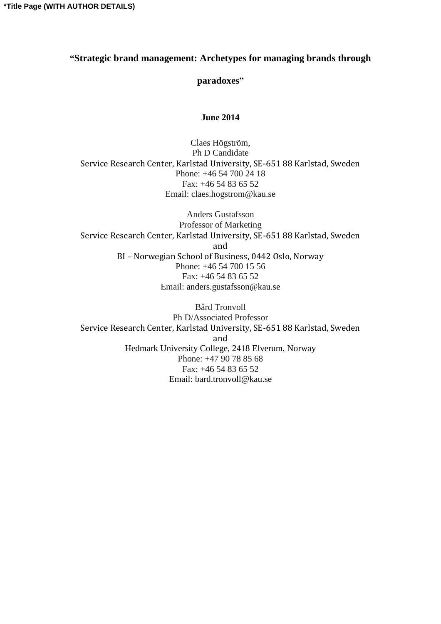## **"Strategic brand management: Archetypes for managing brands through**

**paradoxes"**

## **June 2014**

Claes Högström, Ph D Candidate Service Research Center, Karlstad University, SE-651 88 Karlstad, Sweden Phone: +46 54 700 24 18 Fax: +46 54 83 65 52 Email: claes.hogstrom@kau.se

Anders Gustafsson Professor of Marketing Service Research Center, Karlstad University, SE-651 88 Karlstad, Sweden and BI – Norwegian School of Business, 0442 Oslo, Norway Phone: +46 54 700 15 56 Fax: +46 54 83 65 52 Email: anders.gustafsson@kau.se

Bård Tronvoll Ph D/Associated Professor Service Research Center, Karlstad University, SE-651 88 Karlstad, Sweden and Hedmark University College, 2418 Elverum, Norway Phone: +47 90 78 85 68 Fax: +46 54 83 65 52 Email: bard.tronvoll@kau.se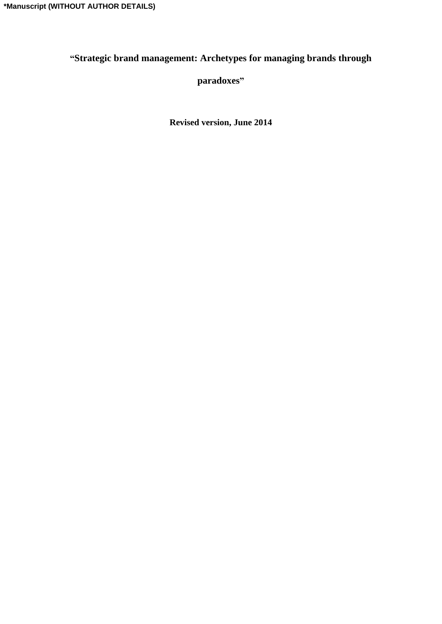## **"Strategic brand management: Archetypes for managing brands through**

**paradoxes"**

**Revised version, June 2014**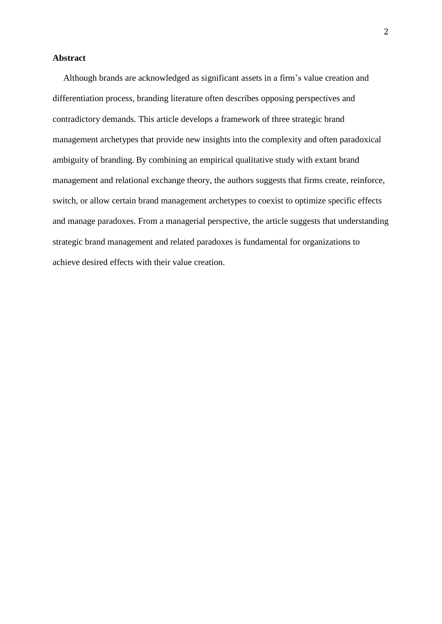## **Abstract**

Although brands are acknowledged as significant assets in a firm"s value creation and differentiation process, branding literature often describes opposing perspectives and contradictory demands. This article develops a framework of three strategic brand management archetypes that provide new insights into the complexity and often paradoxical ambiguity of branding. By combining an empirical qualitative study with extant brand management and relational exchange theory, the authors suggests that firms create, reinforce, switch, or allow certain brand management archetypes to coexist to optimize specific effects and manage paradoxes. From a managerial perspective, the article suggests that understanding strategic brand management and related paradoxes is fundamental for organizations to achieve desired effects with their value creation.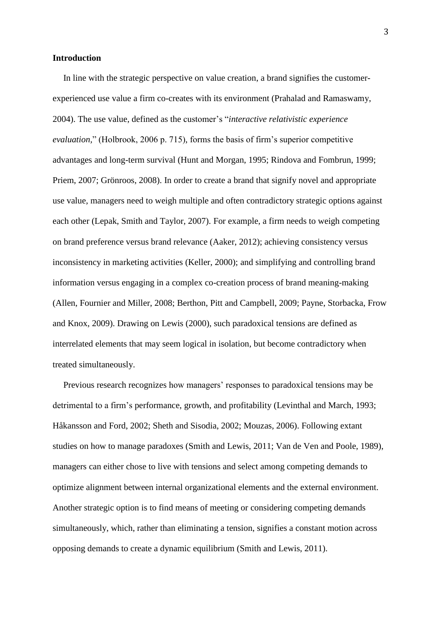## **Introduction**

In line with the strategic perspective on value creation, a brand signifies the customerexperienced use value a firm co-creates with its environment (Prahalad and Ramaswamy, 2004). The use value, defined as the customer"s "*interactive relativistic experience evaluation*," (Holbrook, 2006 p. 715), forms the basis of firm's superior competitive advantages and long-term survival (Hunt and Morgan, 1995; Rindova and Fombrun, 1999; Priem, 2007; Grönroos, 2008). In order to create a brand that signify novel and appropriate use value, managers need to weigh multiple and often contradictory strategic options against each other (Lepak, Smith and Taylor, 2007). For example, a firm needs to weigh competing on brand preference versus brand relevance (Aaker, 2012); achieving consistency versus inconsistency in marketing activities (Keller, 2000); and simplifying and controlling brand information versus engaging in a complex co-creation process of brand meaning-making (Allen, Fournier and Miller, 2008; Berthon, Pitt and Campbell, 2009; Payne, Storbacka, Frow and Knox, 2009). Drawing on Lewis (2000), such paradoxical tensions are defined as interrelated elements that may seem logical in isolation, but become contradictory when treated simultaneously.

Previous research recognizes how managers' responses to paradoxical tensions may be detrimental to a firm"s performance, growth, and profitability (Levinthal and March, 1993; Håkansson and Ford, 2002; Sheth and Sisodia, 2002; Mouzas, 2006). Following extant studies on how to manage paradoxes (Smith and Lewis, 2011; Van de Ven and Poole, 1989), managers can either chose to live with tensions and select among competing demands to optimize alignment between internal organizational elements and the external environment. Another strategic option is to find means of meeting or considering competing demands simultaneously, which, rather than eliminating a tension, signifies a constant motion across opposing demands to create a dynamic equilibrium (Smith and Lewis, 2011).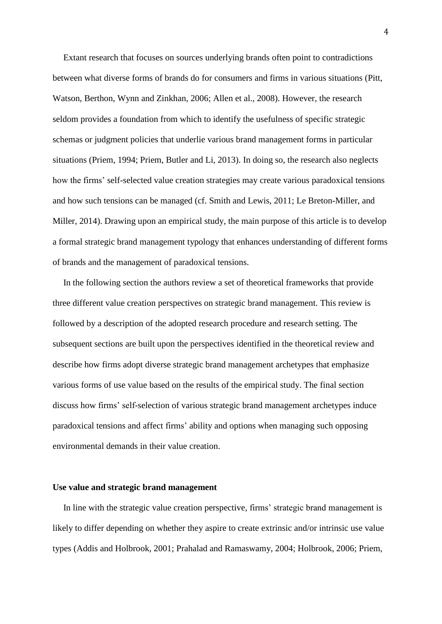Extant research that focuses on sources underlying brands often point to contradictions between what diverse forms of brands do for consumers and firms in various situations (Pitt, Watson, Berthon, Wynn and Zinkhan, 2006; Allen et al., 2008). However, the research seldom provides a foundation from which to identify the usefulness of specific strategic schemas or judgment policies that underlie various brand management forms in particular situations (Priem, 1994; Priem, Butler and Li, 2013). In doing so, the research also neglects how the firms' self-selected value creation strategies may create various paradoxical tensions and how such tensions can be managed (cf. Smith and Lewis, 2011; Le Breton-Miller, and Miller, 2014). Drawing upon an empirical study, the main purpose of this article is to develop a formal strategic brand management typology that enhances understanding of different forms of brands and the management of paradoxical tensions.

In the following section the authors review a set of theoretical frameworks that provide three different value creation perspectives on strategic brand management. This review is followed by a description of the adopted research procedure and research setting. The subsequent sections are built upon the perspectives identified in the theoretical review and describe how firms adopt diverse strategic brand management archetypes that emphasize various forms of use value based on the results of the empirical study. The final section discuss how firms" self-selection of various strategic brand management archetypes induce paradoxical tensions and affect firms" ability and options when managing such opposing environmental demands in their value creation.

#### **Use value and strategic brand management**

In line with the strategic value creation perspective, firms' strategic brand management is likely to differ depending on whether they aspire to create extrinsic and/or intrinsic use value types (Addis and Holbrook, 2001; Prahalad and Ramaswamy, 2004; Holbrook, 2006; Priem,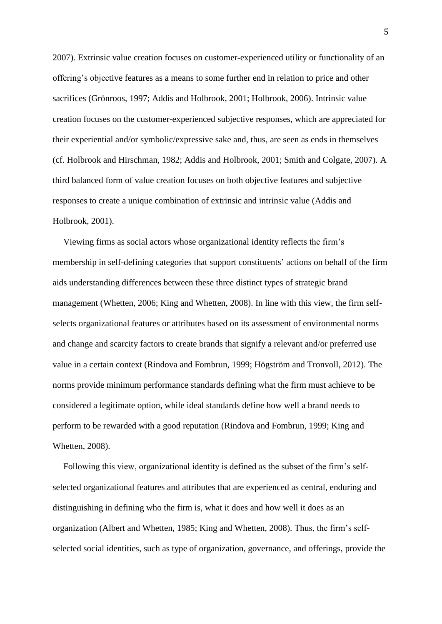2007). Extrinsic value creation focuses on customer-experienced utility or functionality of an offering"s objective features as a means to some further end in relation to price and other sacrifices (Grönroos, 1997; Addis and Holbrook, 2001; Holbrook, 2006). Intrinsic value creation focuses on the customer-experienced subjective responses, which are appreciated for their experiential and/or symbolic/expressive sake and, thus, are seen as ends in themselves (cf. Holbrook and Hirschman, 1982; Addis and Holbrook, 2001; Smith and Colgate, 2007). A third balanced form of value creation focuses on both objective features and subjective responses to create a unique combination of extrinsic and intrinsic value (Addis and Holbrook, 2001).

Viewing firms as social actors whose organizational identity reflects the firm"s membership in self-defining categories that support constituents' actions on behalf of the firm aids understanding differences between these three distinct types of strategic brand management (Whetten, 2006; King and Whetten, 2008). In line with this view, the firm selfselects organizational features or attributes based on its assessment of environmental norms and change and scarcity factors to create brands that signify a relevant and/or preferred use value in a certain context (Rindova and Fombrun, 1999; Högström and Tronvoll, 2012). The norms provide minimum performance standards defining what the firm must achieve to be considered a legitimate option, while ideal standards define how well a brand needs to perform to be rewarded with a good reputation (Rindova and Fombrun, 1999; King and Whetten, 2008).

Following this view, organizational identity is defined as the subset of the firm's selfselected organizational features and attributes that are experienced as central, enduring and distinguishing in defining who the firm is, what it does and how well it does as an organization (Albert and Whetten, 1985; King and Whetten, 2008). Thus, the firm"s selfselected social identities, such as type of organization, governance, and offerings, provide the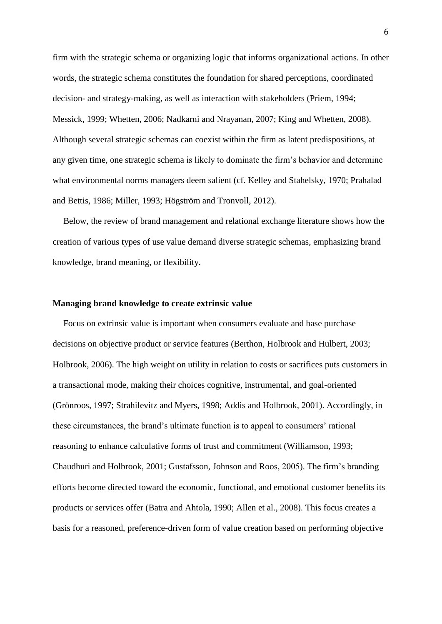firm with the strategic schema or organizing logic that informs organizational actions. In other words, the strategic schema constitutes the foundation for shared perceptions, coordinated decision- and strategy-making, as well as interaction with stakeholders (Priem, 1994; Messick, 1999; Whetten, 2006; Nadkarni and Nrayanan, 2007; King and Whetten, 2008). Although several strategic schemas can coexist within the firm as latent predispositions, at any given time, one strategic schema is likely to dominate the firm"s behavior and determine what environmental norms managers deem salient (cf. Kelley and Stahelsky, 1970; Prahalad and Bettis, 1986; Miller, 1993; Högström and Tronvoll, 2012).

Below, the review of brand management and relational exchange literature shows how the creation of various types of use value demand diverse strategic schemas, emphasizing brand knowledge, brand meaning, or flexibility.

## **Managing brand knowledge to create extrinsic value**

Focus on extrinsic value is important when consumers evaluate and base purchase decisions on objective product or service features (Berthon, Holbrook and Hulbert, 2003; Holbrook, 2006). The high weight on utility in relation to costs or sacrifices puts customers in a transactional mode, making their choices cognitive, instrumental, and goal-oriented (Grönroos, 1997; Strahilevitz and Myers, 1998; Addis and Holbrook, 2001). Accordingly, in these circumstances, the brand's ultimate function is to appeal to consumers' rational reasoning to enhance calculative forms of trust and commitment (Williamson, 1993; Chaudhuri and Holbrook, 2001; Gustafsson, Johnson and Roos, 2005). The firm"s branding efforts become directed toward the economic, functional, and emotional customer benefits its products or services offer (Batra and Ahtola, 1990; Allen et al., 2008). This focus creates a basis for a reasoned, preference-driven form of value creation based on performing objective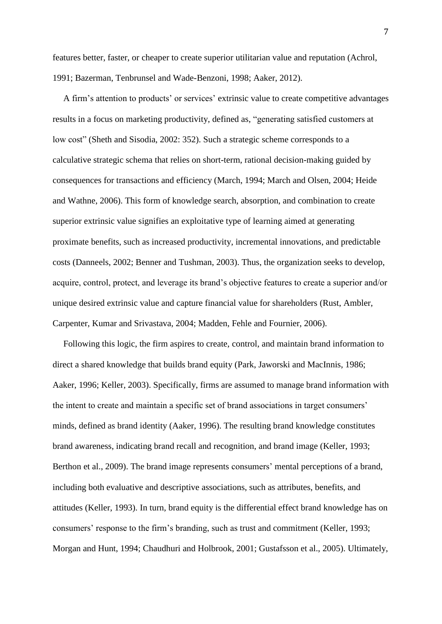features better, faster, or cheaper to create superior utilitarian value and reputation (Achrol, 1991; Bazerman, Tenbrunsel and Wade-Benzoni, 1998; Aaker, 2012).

A firm's attention to products' or services' extrinsic value to create competitive advantages results in a focus on marketing productivity, defined as, "generating satisfied customers at low cost" (Sheth and Sisodia, 2002: 352). Such a strategic scheme corresponds to a calculative strategic schema that relies on short-term, rational decision-making guided by consequences for transactions and efficiency (March, 1994; March and Olsen, 2004; Heide and Wathne, 2006). This form of knowledge search, absorption, and combination to create superior extrinsic value signifies an exploitative type of learning aimed at generating proximate benefits, such as increased productivity, incremental innovations, and predictable costs (Danneels, 2002; Benner and Tushman, 2003). Thus, the organization seeks to develop, acquire, control, protect, and leverage its brand"s objective features to create a superior and/or unique desired extrinsic value and capture financial value for shareholders (Rust, Ambler, Carpenter, Kumar and Srivastava, 2004; Madden, Fehle and Fournier, 2006).

Following this logic, the firm aspires to create, control, and maintain brand information to direct a shared knowledge that builds brand equity (Park, Jaworski and MacInnis, 1986; Aaker, 1996; Keller, 2003). Specifically, firms are assumed to manage brand information with the intent to create and maintain a specific set of brand associations in target consumers" minds, defined as brand identity (Aaker, 1996). The resulting brand knowledge constitutes brand awareness, indicating brand recall and recognition, and brand image (Keller, 1993; Berthon et al., 2009). The brand image represents consumers' mental perceptions of a brand, including both evaluative and descriptive associations, such as attributes, benefits, and attitudes (Keller, 1993). In turn, brand equity is the differential effect brand knowledge has on consumers" response to the firm"s branding, such as trust and commitment (Keller, 1993; Morgan and Hunt, 1994; Chaudhuri and Holbrook, 2001; Gustafsson et al., 2005). Ultimately,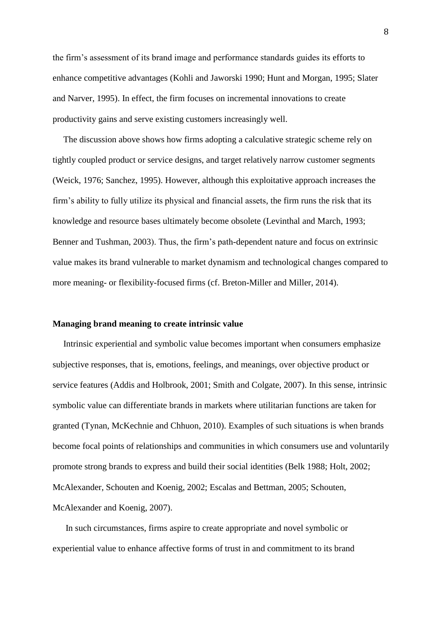the firm"s assessment of its brand image and performance standards guides its efforts to enhance competitive advantages (Kohli and Jaworski 1990; Hunt and Morgan, 1995; Slater and Narver, 1995). In effect, the firm focuses on incremental innovations to create productivity gains and serve existing customers increasingly well.

The discussion above shows how firms adopting a calculative strategic scheme rely on tightly coupled product or service designs, and target relatively narrow customer segments (Weick, 1976; Sanchez, 1995). However, although this exploitative approach increases the firm"s ability to fully utilize its physical and financial assets, the firm runs the risk that its knowledge and resource bases ultimately become obsolete (Levinthal and March, 1993; Benner and Tushman, 2003). Thus, the firm"s path-dependent nature and focus on extrinsic value makes its brand vulnerable to market dynamism and technological changes compared to more meaning- or flexibility-focused firms (cf. Breton-Miller and Miller, 2014).

### **Managing brand meaning to create intrinsic value**

Intrinsic experiential and symbolic value becomes important when consumers emphasize subjective responses, that is, emotions, feelings, and meanings, over objective product or service features (Addis and Holbrook, 2001; Smith and Colgate, 2007). In this sense, intrinsic symbolic value can differentiate brands in markets where utilitarian functions are taken for granted (Tynan, McKechnie and Chhuon, 2010). Examples of such situations is when brands become focal points of relationships and communities in which consumers use and voluntarily promote strong brands to express and build their social identities (Belk 1988; Holt, 2002; McAlexander, Schouten and Koenig, 2002; Escalas and Bettman, 2005; Schouten, McAlexander and Koenig, 2007).

In such circumstances, firms aspire to create appropriate and novel symbolic or experiential value to enhance affective forms of trust in and commitment to its brand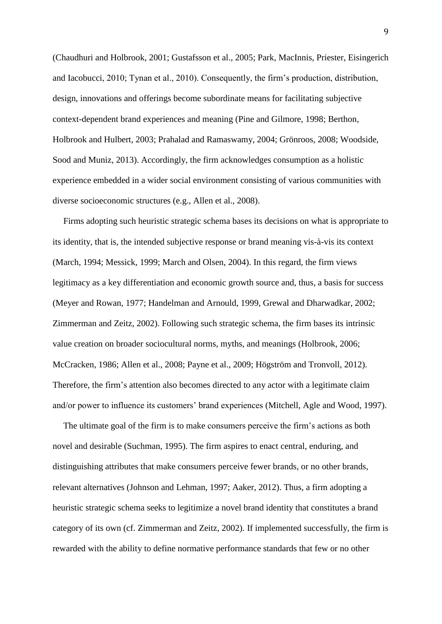(Chaudhuri and Holbrook, 2001; Gustafsson et al., 2005; Park, MacInnis, Priester, Eisingerich and Iacobucci, 2010; Tynan et al., 2010). Consequently, the firm"s production, distribution, design, innovations and offerings become subordinate means for facilitating subjective context-dependent brand experiences and meaning (Pine and Gilmore, 1998; Berthon, Holbrook and Hulbert, 2003; Prahalad and Ramaswamy, 2004; Grönroos, 2008; Woodside, Sood and Muniz, 2013). Accordingly, the firm acknowledges consumption as a holistic experience embedded in a wider social environment consisting of various communities with diverse socioeconomic structures (e.g., Allen et al., 2008).

Firms adopting such heuristic strategic schema bases its decisions on what is appropriate to its identity, that is, the intended subjective response or brand meaning vis-à-vis its context (March, 1994; Messick, 1999; March and Olsen, 2004). In this regard, the firm views legitimacy as a key differentiation and economic growth source and, thus, a basis for success (Meyer and Rowan, 1977; Handelman and Arnould, 1999, Grewal and Dharwadkar, 2002; Zimmerman and Zeitz, 2002). Following such strategic schema, the firm bases its intrinsic value creation on broader sociocultural norms, myths, and meanings (Holbrook, 2006; McCracken, 1986; Allen et al., 2008; Payne et al., 2009; Högström and Tronvoll, 2012). Therefore, the firm"s attention also becomes directed to any actor with a legitimate claim and/or power to influence its customers" brand experiences (Mitchell, Agle and Wood, 1997).

The ultimate goal of the firm is to make consumers perceive the firm's actions as both novel and desirable (Suchman, 1995). The firm aspires to enact central, enduring, and distinguishing attributes that make consumers perceive fewer brands, or no other brands, relevant alternatives (Johnson and Lehman, 1997; Aaker, 2012). Thus, a firm adopting a heuristic strategic schema seeks to legitimize a novel brand identity that constitutes a brand category of its own (cf. Zimmerman and Zeitz, 2002). If implemented successfully, the firm is rewarded with the ability to define normative performance standards that few or no other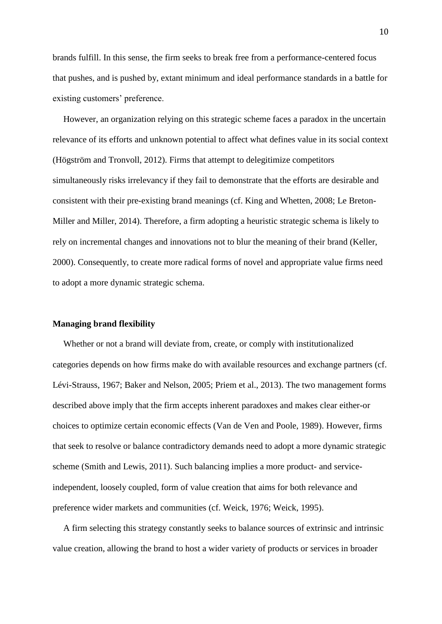brands fulfill. In this sense, the firm seeks to break free from a performance-centered focus that pushes, and is pushed by, extant minimum and ideal performance standards in a battle for existing customers' preference.

However, an organization relying on this strategic scheme faces a paradox in the uncertain relevance of its efforts and unknown potential to affect what defines value in its social context (Högström and Tronvoll, 2012). Firms that attempt to delegitimize competitors simultaneously risks irrelevancy if they fail to demonstrate that the efforts are desirable and consistent with their pre-existing brand meanings (cf. King and Whetten, 2008; Le Breton-Miller and Miller, 2014). Therefore, a firm adopting a heuristic strategic schema is likely to rely on incremental changes and innovations not to blur the meaning of their brand (Keller, 2000). Consequently, to create more radical forms of novel and appropriate value firms need to adopt a more dynamic strategic schema.

### **Managing brand flexibility**

Whether or not a brand will deviate from, create, or comply with institutionalized categories depends on how firms make do with available resources and exchange partners (cf. Lévi-Strauss, 1967; Baker and Nelson, 2005; Priem et al., 2013). The two management forms described above imply that the firm accepts inherent paradoxes and makes clear either-or choices to optimize certain economic effects (Van de Ven and Poole, 1989). However, firms that seek to resolve or balance contradictory demands need to adopt a more dynamic strategic scheme (Smith and Lewis, 2011). Such balancing implies a more product- and serviceindependent, loosely coupled, form of value creation that aims for both relevance and preference wider markets and communities (cf. Weick, 1976; Weick, 1995).

A firm selecting this strategy constantly seeks to balance sources of extrinsic and intrinsic value creation, allowing the brand to host a wider variety of products or services in broader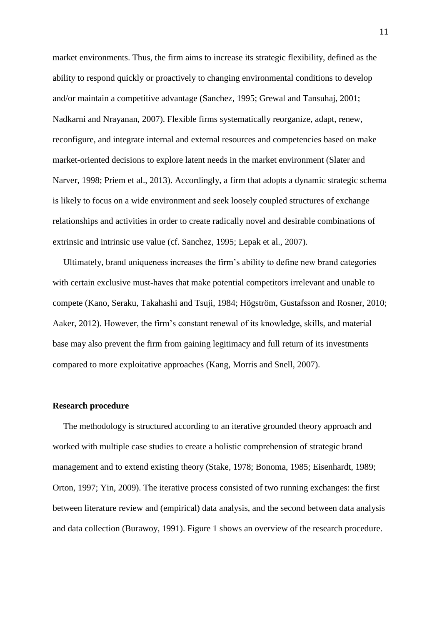market environments. Thus, the firm aims to increase its strategic flexibility, defined as the ability to respond quickly or proactively to changing environmental conditions to develop and/or maintain a competitive advantage (Sanchez, 1995; Grewal and Tansuhaj, 2001; Nadkarni and Nrayanan, 2007). Flexible firms systematically reorganize, adapt, renew, reconfigure, and integrate internal and external resources and competencies based on make market-oriented decisions to explore latent needs in the market environment (Slater and Narver, 1998; Priem et al., 2013). Accordingly, a firm that adopts a dynamic strategic schema is likely to focus on a wide environment and seek loosely coupled structures of exchange relationships and activities in order to create radically novel and desirable combinations of extrinsic and intrinsic use value (cf. Sanchez, 1995; Lepak et al., 2007).

Ultimately, brand uniqueness increases the firm"s ability to define new brand categories with certain exclusive must-haves that make potential competitors irrelevant and unable to compete (Kano, Seraku, Takahashi and Tsuji, 1984; Högström, Gustafsson and Rosner, 2010; Aaker, 2012). However, the firm"s constant renewal of its knowledge, skills, and material base may also prevent the firm from gaining legitimacy and full return of its investments compared to more exploitative approaches (Kang, Morris and Snell, 2007).

## **Research procedure**

The methodology is structured according to an iterative grounded theory approach and worked with multiple case studies to create a holistic comprehension of strategic brand management and to extend existing theory (Stake, 1978; Bonoma, 1985; Eisenhardt, 1989; Orton, 1997; Yin, 2009). The iterative process consisted of two running exchanges: the first between literature review and (empirical) data analysis, and the second between data analysis and data collection (Burawoy, 1991). Figure 1 shows an overview of the research procedure.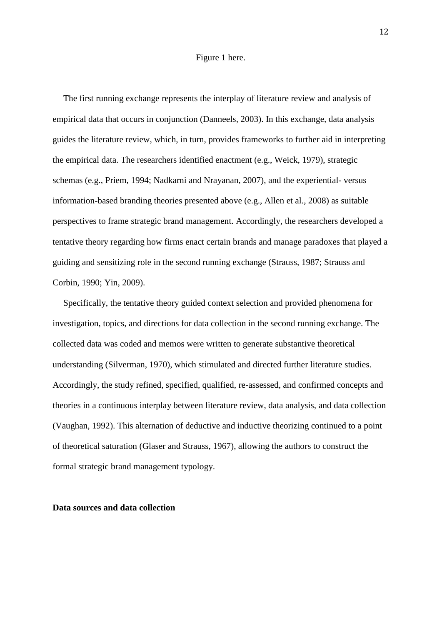#### Figure 1 here.

The first running exchange represents the interplay of literature review and analysis of empirical data that occurs in conjunction (Danneels, 2003). In this exchange, data analysis guides the literature review, which, in turn, provides frameworks to further aid in interpreting the empirical data. The researchers identified enactment (e.g., Weick, 1979), strategic schemas (e.g., Priem, 1994; Nadkarni and Nrayanan, 2007), and the experiential- versus information-based branding theories presented above (e.g., Allen et al., 2008) as suitable perspectives to frame strategic brand management. Accordingly, the researchers developed a tentative theory regarding how firms enact certain brands and manage paradoxes that played a guiding and sensitizing role in the second running exchange (Strauss, 1987; Strauss and Corbin, 1990; Yin, 2009).

Specifically, the tentative theory guided context selection and provided phenomena for investigation, topics, and directions for data collection in the second running exchange. The collected data was coded and memos were written to generate substantive theoretical understanding (Silverman, 1970), which stimulated and directed further literature studies. Accordingly, the study refined, specified, qualified, re-assessed, and confirmed concepts and theories in a continuous interplay between literature review, data analysis, and data collection (Vaughan, 1992). This alternation of deductive and inductive theorizing continued to a point of theoretical saturation (Glaser and Strauss, 1967), allowing the authors to construct the formal strategic brand management typology.

## **Data sources and data collection**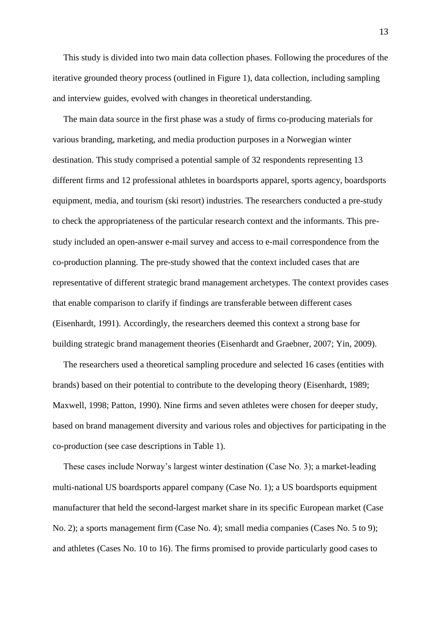This study is divided into two main data collection phases. Following the procedures of the iterative grounded theory process (outlined in Figure 1), data collection, including sampling and interview guides, evolved with changes in theoretical understanding.

The main data source in the first phase was a study of firms co-producing materials for various branding, marketing, and media production purposes in a Norwegian winter destination. This study comprised a potential sample of 32 respondents representing 13 different firms and 12 professional athletes in boardsports apparel, sports agency, boardsports equipment, media, and tourism (ski resort) industries. The researchers conducted a pre-study to check the appropriateness of the particular research context and the informants. This prestudy included an open-answer e-mail survey and access to e-mail correspondence from the co-production planning. The pre-study showed that the context included cases that are representative of different strategic brand management archetypes. The context provides cases that enable comparison to clarify if findings are transferable between different cases (Eisenhardt, 1991). Accordingly, the researchers deemed this context a strong base for building strategic brand management theories (Eisenhardt and Graebner, 2007; Yin, 2009).

The researchers used a theoretical sampling procedure and selected 16 cases (entities with brands) based on their potential to contribute to the developing theory (Eisenhardt, 1989; Maxwell, 1998; Patton, 1990). Nine firms and seven athletes were chosen for deeper study, based on brand management diversity and various roles and objectives for participating in the co-production (see case descriptions in Table 1).

These cases include Norway's largest winter destination (Case No. 3); a market-leading multi-national US boardsports apparel company (Case No. 1); a US boardsports equipment manufacturer that held the second-largest market share in its specific European market (Case No. 2); a sports management firm (Case No. 4); small media companies (Cases No. 5 to 9); and athletes (Cases No. 10 to 16). The firms promised to provide particularly good cases to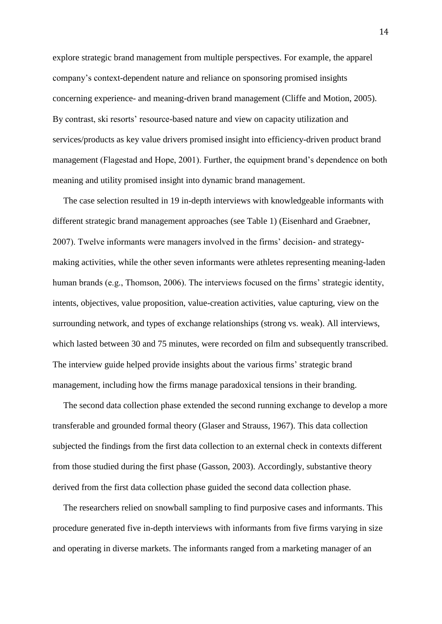explore strategic brand management from multiple perspectives. For example, the apparel company"s context-dependent nature and reliance on sponsoring promised insights concerning experience- and meaning-driven brand management (Cliffe and Motion, 2005). By contrast, ski resorts' resource-based nature and view on capacity utilization and services/products as key value drivers promised insight into efficiency-driven product brand management (Flagestad and Hope, 2001). Further, the equipment brand"s dependence on both meaning and utility promised insight into dynamic brand management.

The case selection resulted in 19 in-depth interviews with knowledgeable informants with different strategic brand management approaches (see Table 1) (Eisenhard and Graebner, 2007). Twelve informants were managers involved in the firms" decision- and strategymaking activities, while the other seven informants were athletes representing meaning-laden human brands (e.g., Thomson, 2006). The interviews focused on the firms' strategic identity, intents, objectives, value proposition, value-creation activities, value capturing, view on the surrounding network, and types of exchange relationships (strong vs. weak). All interviews, which lasted between 30 and 75 minutes, were recorded on film and subsequently transcribed. The interview guide helped provide insights about the various firms' strategic brand management, including how the firms manage paradoxical tensions in their branding.

The second data collection phase extended the second running exchange to develop a more transferable and grounded formal theory (Glaser and Strauss, 1967). This data collection subjected the findings from the first data collection to an external check in contexts different from those studied during the first phase (Gasson, 2003). Accordingly, substantive theory derived from the first data collection phase guided the second data collection phase.

The researchers relied on snowball sampling to find purposive cases and informants. This procedure generated five in-depth interviews with informants from five firms varying in size and operating in diverse markets. The informants ranged from a marketing manager of an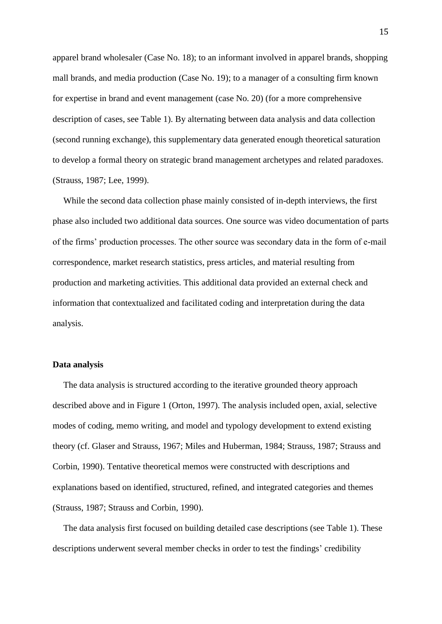apparel brand wholesaler (Case No. 18); to an informant involved in apparel brands, shopping mall brands, and media production (Case No. 19); to a manager of a consulting firm known for expertise in brand and event management (case No. 20) (for a more comprehensive description of cases, see Table 1). By alternating between data analysis and data collection (second running exchange), this supplementary data generated enough theoretical saturation to develop a formal theory on strategic brand management archetypes and related paradoxes. (Strauss, 1987; Lee, 1999).

While the second data collection phase mainly consisted of in-depth interviews, the first phase also included two additional data sources. One source was video documentation of parts of the firms" production processes. The other source was secondary data in the form of e-mail correspondence, market research statistics, press articles, and material resulting from production and marketing activities. This additional data provided an external check and information that contextualized and facilitated coding and interpretation during the data analysis.

### **Data analysis**

The data analysis is structured according to the iterative grounded theory approach described above and in Figure 1 (Orton, 1997). The analysis included open, axial, selective modes of coding, memo writing, and model and typology development to extend existing theory (cf. Glaser and Strauss, 1967; Miles and Huberman, 1984; Strauss, 1987; Strauss and Corbin, 1990). Tentative theoretical memos were constructed with descriptions and explanations based on identified, structured, refined, and integrated categories and themes (Strauss, 1987; Strauss and Corbin, 1990).

The data analysis first focused on building detailed case descriptions (see Table 1). These descriptions underwent several member checks in order to test the findings' credibility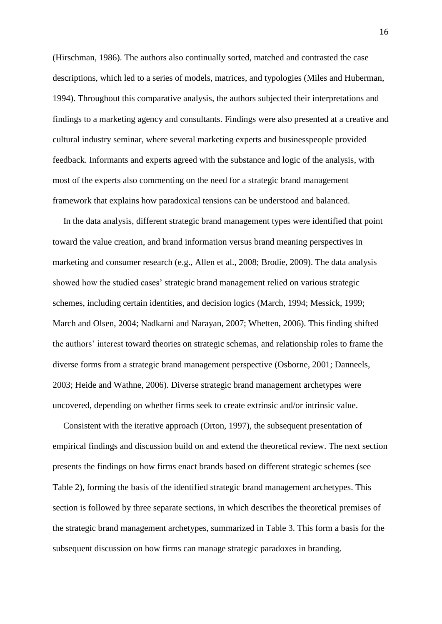(Hirschman, 1986). The authors also continually sorted, matched and contrasted the case descriptions, which led to a series of models, matrices, and typologies (Miles and Huberman, 1994). Throughout this comparative analysis, the authors subjected their interpretations and findings to a marketing agency and consultants. Findings were also presented at a creative and cultural industry seminar, where several marketing experts and businesspeople provided feedback. Informants and experts agreed with the substance and logic of the analysis, with most of the experts also commenting on the need for a strategic brand management framework that explains how paradoxical tensions can be understood and balanced.

In the data analysis, different strategic brand management types were identified that point toward the value creation, and brand information versus brand meaning perspectives in marketing and consumer research (e.g., Allen et al., 2008; Brodie, 2009). The data analysis showed how the studied cases' strategic brand management relied on various strategic schemes, including certain identities, and decision logics (March, 1994; Messick, 1999; March and Olsen, 2004; Nadkarni and Narayan, 2007; Whetten, 2006). This finding shifted the authors" interest toward theories on strategic schemas, and relationship roles to frame the diverse forms from a strategic brand management perspective (Osborne, 2001; Danneels, 2003; Heide and Wathne, 2006). Diverse strategic brand management archetypes were uncovered, depending on whether firms seek to create extrinsic and/or intrinsic value.

Consistent with the iterative approach (Orton, 1997), the subsequent presentation of empirical findings and discussion build on and extend the theoretical review. The next section presents the findings on how firms enact brands based on different strategic schemes (see Table 2), forming the basis of the identified strategic brand management archetypes. This section is followed by three separate sections, in which describes the theoretical premises of the strategic brand management archetypes, summarized in Table 3. This form a basis for the subsequent discussion on how firms can manage strategic paradoxes in branding.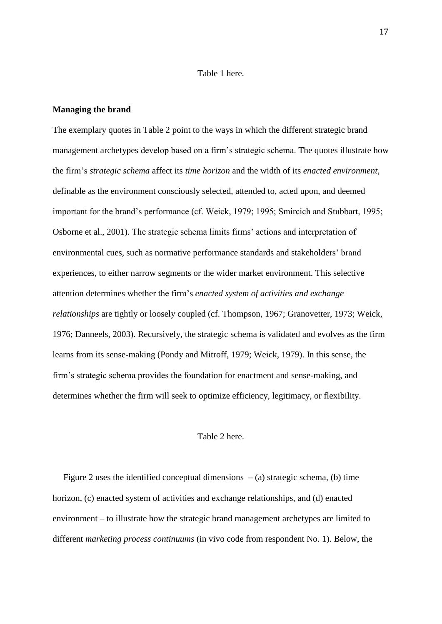## Table 1 here.

## **Managing the brand**

The exemplary quotes in Table 2 point to the ways in which the different strategic brand management archetypes develop based on a firm"s strategic schema. The quotes illustrate how the firm"s *strategic schema* affect its *time horizon* and the width of its *enacted environment*, definable as the environment consciously selected, attended to, acted upon, and deemed important for the brand's performance (cf. Weick, 1979; 1995; Smircich and Stubbart, 1995; Osborne et al., 2001). The strategic schema limits firms' actions and interpretation of environmental cues, such as normative performance standards and stakeholders" brand experiences, to either narrow segments or the wider market environment. This selective attention determines whether the firm"s *enacted system of activities and exchange relationships* are tightly or loosely coupled (cf. Thompson, 1967; Granovetter, 1973; Weick, 1976; Danneels, 2003). Recursively, the strategic schema is validated and evolves as the firm learns from its sense-making (Pondy and Mitroff, 1979; Weick, 1979). In this sense, the firm"s strategic schema provides the foundation for enactment and sense-making, and determines whether the firm will seek to optimize efficiency, legitimacy, or flexibility.

## Table 2 here.

Figure 2 uses the identified conceptual dimensions  $-$  (a) strategic schema, (b) time horizon, (c) enacted system of activities and exchange relationships, and (d) enacted environment – to illustrate how the strategic brand management archetypes are limited to different *marketing process continuums* (in vivo code from respondent No. 1). Below, the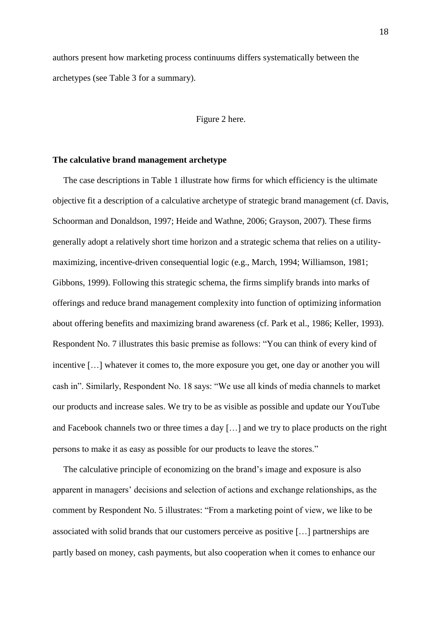authors present how marketing process continuums differs systematically between the archetypes (see Table 3 for a summary).

## Figure 2 here.

#### **The calculative brand management archetype**

The case descriptions in Table 1 illustrate how firms for which efficiency is the ultimate objective fit a description of a calculative archetype of strategic brand management (cf. Davis, Schoorman and Donaldson, 1997; Heide and Wathne, 2006; Grayson, 2007). These firms generally adopt a relatively short time horizon and a strategic schema that relies on a utilitymaximizing, incentive-driven consequential logic (e.g., March, 1994; Williamson, 1981; Gibbons, 1999). Following this strategic schema, the firms simplify brands into marks of offerings and reduce brand management complexity into function of optimizing information about offering benefits and maximizing brand awareness (cf. Park et al., 1986; Keller, 1993). Respondent No. 7 illustrates this basic premise as follows: "You can think of every kind of incentive [...] whatever it comes to, the more exposure you get, one day or another you will cash in". Similarly, Respondent No. 18 says: "We use all kinds of media channels to market our products and increase sales. We try to be as visible as possible and update our YouTube and Facebook channels two or three times a day  $[\dots]$  and we try to place products on the right persons to make it as easy as possible for our products to leave the stores."

The calculative principle of economizing on the brand's image and exposure is also apparent in managers" decisions and selection of actions and exchange relationships, as the comment by Respondent No. 5 illustrates: "From a marketing point of view, we like to be associated with solid brands that our customers perceive as positive … partnerships are partly based on money, cash payments, but also cooperation when it comes to enhance our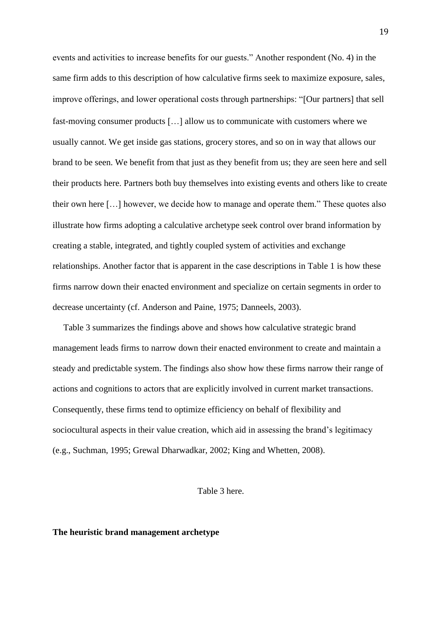events and activities to increase benefits for our guests." Another respondent (No. 4) in the same firm adds to this description of how calculative firms seek to maximize exposure, sales, improve offerings, and lower operational costs through partnerships: "[Our partners] that sell fast-moving consumer products  $[...]$  allow us to communicate with customers where we usually cannot. We get inside gas stations, grocery stores, and so on in way that allows our brand to be seen. We benefit from that just as they benefit from us; they are seen here and sell their products here. Partners both buy themselves into existing events and others like to create their own here [...] however, we decide how to manage and operate them." These quotes also illustrate how firms adopting a calculative archetype seek control over brand information by creating a stable, integrated, and tightly coupled system of activities and exchange relationships. Another factor that is apparent in the case descriptions in Table 1 is how these firms narrow down their enacted environment and specialize on certain segments in order to decrease uncertainty (cf. Anderson and Paine, 1975; Danneels, 2003).

Table 3 summarizes the findings above and shows how calculative strategic brand management leads firms to narrow down their enacted environment to create and maintain a steady and predictable system. The findings also show how these firms narrow their range of actions and cognitions to actors that are explicitly involved in current market transactions. Consequently, these firms tend to optimize efficiency on behalf of flexibility and sociocultural aspects in their value creation, which aid in assessing the brand's legitimacy (e.g., Suchman, 1995; Grewal Dharwadkar, 2002; King and Whetten, 2008).

Table 3 here.

## **The heuristic brand management archetype**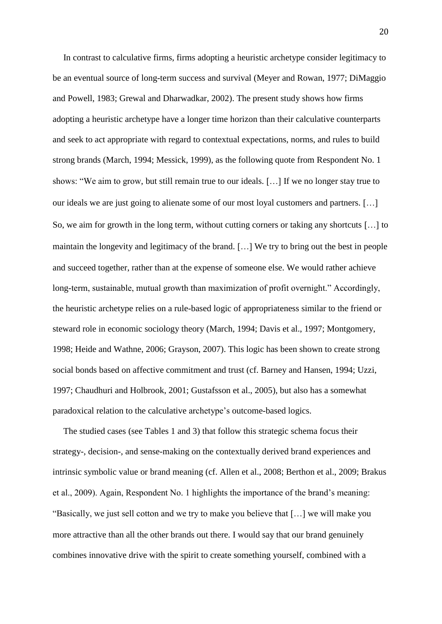In contrast to calculative firms, firms adopting a heuristic archetype consider legitimacy to be an eventual source of long-term success and survival (Meyer and Rowan, 1977; DiMaggio and Powell, 1983; Grewal and Dharwadkar, 2002). The present study shows how firms adopting a heuristic archetype have a longer time horizon than their calculative counterparts and seek to act appropriate with regard to contextual expectations, norms, and rules to build strong brands (March, 1994; Messick, 1999), as the following quote from Respondent No. 1 shows: "We aim to grow, but still remain true to our ideals. [...] If we no longer stay true to our ideals we are just going to alienate some of our most loyal customers and partners. … So, we aim for growth in the long term, without cutting corners or taking any shortcuts [...] to maintain the longevity and legitimacy of the brand. [...] We try to bring out the best in people and succeed together, rather than at the expense of someone else. We would rather achieve long-term, sustainable, mutual growth than maximization of profit overnight." Accordingly, the heuristic archetype relies on a rule-based logic of appropriateness similar to the friend or steward role in economic sociology theory (March, 1994; Davis et al., 1997; Montgomery, 1998; Heide and Wathne, 2006; Grayson, 2007). This logic has been shown to create strong social bonds based on affective commitment and trust (cf. Barney and Hansen, 1994; Uzzi, 1997; Chaudhuri and Holbrook, 2001; Gustafsson et al., 2005), but also has a somewhat paradoxical relation to the calculative archetype's outcome-based logics.

The studied cases (see Tables 1 and 3) that follow this strategic schema focus their strategy-, decision-, and sense-making on the contextually derived brand experiences and intrinsic symbolic value or brand meaning (cf. Allen et al., 2008; Berthon et al., 2009; Brakus et al., 2009). Again, Respondent No. 1 highlights the importance of the brand"s meaning: "Basically, we just sell cotton and we try to make you believe that [...] we will make you more attractive than all the other brands out there. I would say that our brand genuinely combines innovative drive with the spirit to create something yourself, combined with a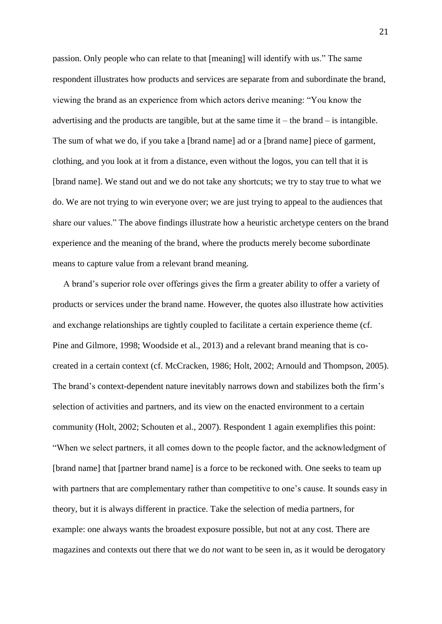passion. Only people who can relate to that [meaning] will identify with us." The same respondent illustrates how products and services are separate from and subordinate the brand, viewing the brand as an experience from which actors derive meaning: "You know the advertising and the products are tangible, but at the same time it – the brand – is intangible. The sum of what we do, if you take a [brand name] ad or a [brand name] piece of garment, clothing, and you look at it from a distance, even without the logos, you can tell that it is [brand name]. We stand out and we do not take any shortcuts; we try to stay true to what we do. We are not trying to win everyone over; we are just trying to appeal to the audiences that share our values." The above findings illustrate how a heuristic archetype centers on the brand experience and the meaning of the brand, where the products merely become subordinate means to capture value from a relevant brand meaning.

A brand"s superior role over offerings gives the firm a greater ability to offer a variety of products or services under the brand name. However, the quotes also illustrate how activities and exchange relationships are tightly coupled to facilitate a certain experience theme (cf. Pine and Gilmore, 1998; Woodside et al., 2013) and a relevant brand meaning that is cocreated in a certain context (cf. McCracken, 1986; Holt, 2002; Arnould and Thompson, 2005). The brand"s context-dependent nature inevitably narrows down and stabilizes both the firm"s selection of activities and partners, and its view on the enacted environment to a certain community (Holt, 2002; Schouten et al., 2007). Respondent 1 again exemplifies this point: "When we select partners, it all comes down to the people factor, and the acknowledgment of [brand name] that [partner brand name] is a force to be reckoned with. One seeks to team up with partners that are complementary rather than competitive to one's cause. It sounds easy in theory, but it is always different in practice. Take the selection of media partners, for example: one always wants the broadest exposure possible, but not at any cost. There are magazines and contexts out there that we do *not* want to be seen in, as it would be derogatory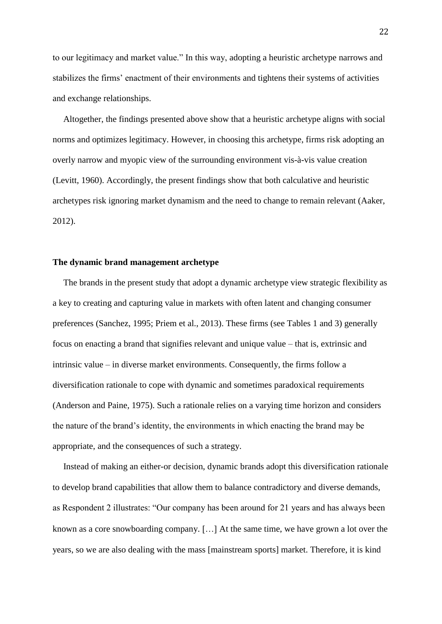to our legitimacy and market value." In this way, adopting a heuristic archetype narrows and stabilizes the firms' enactment of their environments and tightens their systems of activities and exchange relationships.

Altogether, the findings presented above show that a heuristic archetype aligns with social norms and optimizes legitimacy. However, in choosing this archetype, firms risk adopting an overly narrow and myopic view of the surrounding environment vis-à-vis value creation (Levitt, 1960). Accordingly, the present findings show that both calculative and heuristic archetypes risk ignoring market dynamism and the need to change to remain relevant (Aaker, 2012).

#### **The dynamic brand management archetype**

The brands in the present study that adopt a dynamic archetype view strategic flexibility as a key to creating and capturing value in markets with often latent and changing consumer preferences (Sanchez, 1995; Priem et al., 2013). These firms (see Tables 1 and 3) generally focus on enacting a brand that signifies relevant and unique value – that is, extrinsic and intrinsic value – in diverse market environments. Consequently, the firms follow a diversification rationale to cope with dynamic and sometimes paradoxical requirements (Anderson and Paine, 1975). Such a rationale relies on a varying time horizon and considers the nature of the brand"s identity, the environments in which enacting the brand may be appropriate, and the consequences of such a strategy.

Instead of making an either-or decision, dynamic brands adopt this diversification rationale to develop brand capabilities that allow them to balance contradictory and diverse demands, as Respondent 2 illustrates: "Our company has been around for 21 years and has always been known as a core snowboarding company. [...] At the same time, we have grown a lot over the years, so we are also dealing with the mass [mainstream sports] market. Therefore, it is kind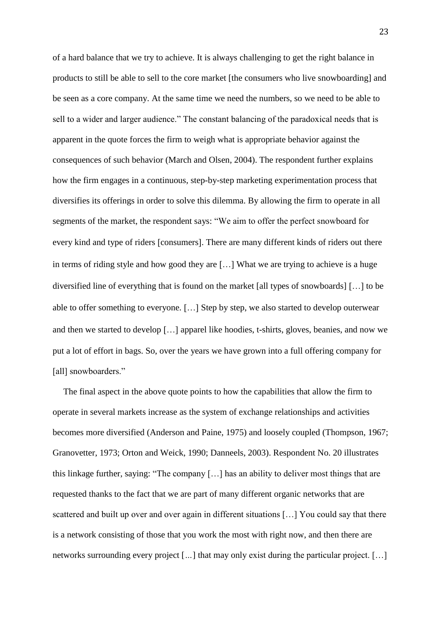of a hard balance that we try to achieve. It is always challenging to get the right balance in products to still be able to sell to the core market [the consumers who live snowboarding] and be seen as a core company. At the same time we need the numbers, so we need to be able to sell to a wider and larger audience." The constant balancing of the paradoxical needs that is apparent in the quote forces the firm to weigh what is appropriate behavior against the consequences of such behavior (March and Olsen, 2004). The respondent further explains how the firm engages in a continuous, step-by-step marketing experimentation process that diversifies its offerings in order to solve this dilemma. By allowing the firm to operate in all segments of the market, the respondent says: "We aim to offer the perfect snowboard for every kind and type of riders [consumers]. There are many different kinds of riders out there in terms of riding style and how good they are [...] What we are trying to achieve is a huge diversified line of everything that is found on the market [all types of snowboards] … to be able to offer something to everyone. [...] Step by step, we also started to develop outerwear and then we started to develop [...] apparel like hoodies, t-shirts, gloves, beanies, and now we put a lot of effort in bags. So, over the years we have grown into a full offering company for [all] snowboarders."

The final aspect in the above quote points to how the capabilities that allow the firm to operate in several markets increase as the system of exchange relationships and activities becomes more diversified (Anderson and Paine, 1975) and loosely coupled (Thompson, 1967; Granovetter, 1973; Orton and Weick, 1990; Danneels, 2003). Respondent No. 20 illustrates this linkage further, saying: "The company […] has an ability to deliver most things that are requested thanks to the fact that we are part of many different organic networks that are scattered and built up over and over again in different situations […] You could say that there is a network consisting of those that you work the most with right now, and then there are networks surrounding every project [*…*] that may only exist during the particular project. […]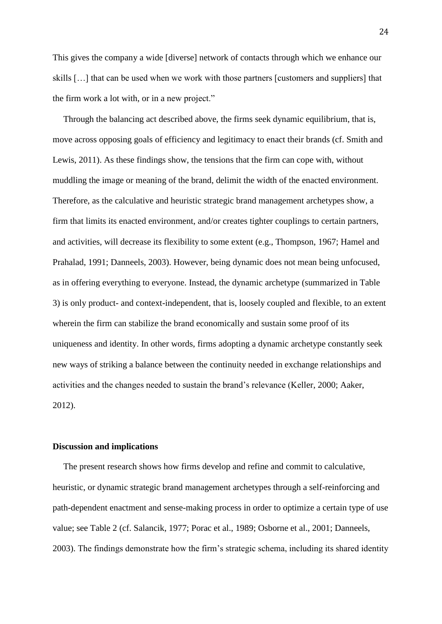This gives the company a wide [diverse] network of contacts through which we enhance our skills […] that can be used when we work with those partners [customers and suppliers] that the firm work a lot with, or in a new project."

Through the balancing act described above, the firms seek dynamic equilibrium, that is, move across opposing goals of efficiency and legitimacy to enact their brands (cf. Smith and Lewis, 2011). As these findings show, the tensions that the firm can cope with, without muddling the image or meaning of the brand, delimit the width of the enacted environment. Therefore, as the calculative and heuristic strategic brand management archetypes show, a firm that limits its enacted environment, and/or creates tighter couplings to certain partners, and activities, will decrease its flexibility to some extent (e.g., Thompson, 1967; Hamel and Prahalad, 1991; Danneels, 2003). However, being dynamic does not mean being unfocused, as in offering everything to everyone. Instead, the dynamic archetype (summarized in Table 3) is only product- and context-independent, that is, loosely coupled and flexible, to an extent wherein the firm can stabilize the brand economically and sustain some proof of its uniqueness and identity. In other words, firms adopting a dynamic archetype constantly seek new ways of striking a balance between the continuity needed in exchange relationships and activities and the changes needed to sustain the brand"s relevance (Keller, 2000; Aaker, 2012).

### **Discussion and implications**

The present research shows how firms develop and refine and commit to calculative, heuristic, or dynamic strategic brand management archetypes through a self-reinforcing and path-dependent enactment and sense-making process in order to optimize a certain type of use value; see Table 2 (cf. Salancik, 1977; Porac et al., 1989; Osborne et al., 2001; Danneels, 2003). The findings demonstrate how the firm"s strategic schema, including its shared identity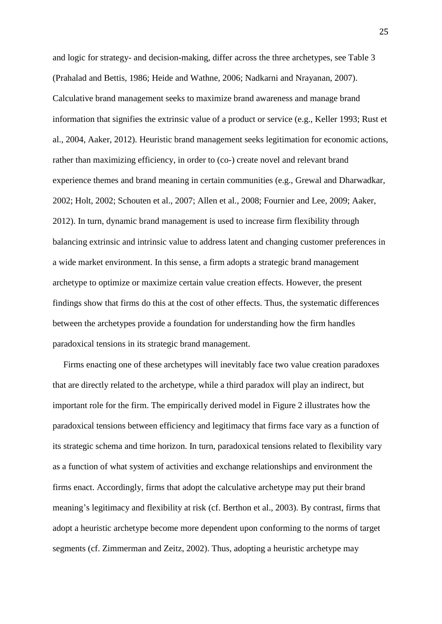and logic for strategy- and decision-making, differ across the three archetypes, see Table 3 (Prahalad and Bettis, 1986; Heide and Wathne, 2006; Nadkarni and Nrayanan, 2007). Calculative brand management seeks to maximize brand awareness and manage brand information that signifies the extrinsic value of a product or service (e.g., Keller 1993; Rust et al., 2004, Aaker, 2012). Heuristic brand management seeks legitimation for economic actions, rather than maximizing efficiency, in order to (co-) create novel and relevant brand experience themes and brand meaning in certain communities (e.g., Grewal and Dharwadkar, 2002; Holt, 2002; Schouten et al., 2007; Allen et al., 2008; Fournier and Lee, 2009; Aaker, 2012). In turn, dynamic brand management is used to increase firm flexibility through balancing extrinsic and intrinsic value to address latent and changing customer preferences in a wide market environment. In this sense, a firm adopts a strategic brand management archetype to optimize or maximize certain value creation effects. However, the present findings show that firms do this at the cost of other effects. Thus, the systematic differences between the archetypes provide a foundation for understanding how the firm handles paradoxical tensions in its strategic brand management.

Firms enacting one of these archetypes will inevitably face two value creation paradoxes that are directly related to the archetype, while a third paradox will play an indirect, but important role for the firm. The empirically derived model in Figure 2 illustrates how the paradoxical tensions between efficiency and legitimacy that firms face vary as a function of its strategic schema and time horizon. In turn, paradoxical tensions related to flexibility vary as a function of what system of activities and exchange relationships and environment the firms enact. Accordingly, firms that adopt the calculative archetype may put their brand meaning"s legitimacy and flexibility at risk (cf. Berthon et al., 2003). By contrast, firms that adopt a heuristic archetype become more dependent upon conforming to the norms of target segments (cf. Zimmerman and Zeitz, 2002). Thus, adopting a heuristic archetype may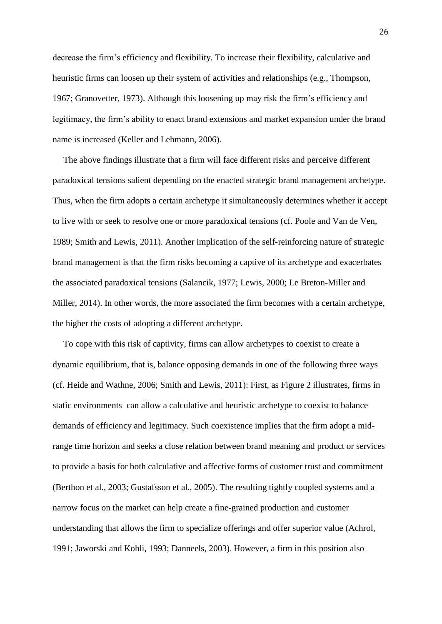decrease the firm"s efficiency and flexibility. To increase their flexibility, calculative and heuristic firms can loosen up their system of activities and relationships (e.g., Thompson, 1967; Granovetter, 1973). Although this loosening up may risk the firm"s efficiency and legitimacy, the firm's ability to enact brand extensions and market expansion under the brand name is increased (Keller and Lehmann, 2006).

The above findings illustrate that a firm will face different risks and perceive different paradoxical tensions salient depending on the enacted strategic brand management archetype. Thus, when the firm adopts a certain archetype it simultaneously determines whether it accept to live with or seek to resolve one or more paradoxical tensions (cf. Poole and Van de Ven, 1989; Smith and Lewis, 2011). Another implication of the self-reinforcing nature of strategic brand management is that the firm risks becoming a captive of its archetype and exacerbates the associated paradoxical tensions (Salancik, 1977; Lewis, 2000; Le Breton-Miller and Miller, 2014). In other words, the more associated the firm becomes with a certain archetype, the higher the costs of adopting a different archetype.

To cope with this risk of captivity, firms can allow archetypes to coexist to create a dynamic equilibrium, that is, balance opposing demands in one of the following three ways (cf. Heide and Wathne, 2006; Smith and Lewis, 2011): First, as Figure 2 illustrates, firms in static environments can allow a calculative and heuristic archetype to coexist to balance demands of efficiency and legitimacy. Such coexistence implies that the firm adopt a midrange time horizon and seeks a close relation between brand meaning and product or services to provide a basis for both calculative and affective forms of customer trust and commitment (Berthon et al., 2003; Gustafsson et al., 2005). The resulting tightly coupled systems and a narrow focus on the market can help create a fine-grained production and customer understanding that allows the firm to specialize offerings and offer superior value (Achrol, 1991; Jaworski and Kohli, 1993; Danneels, 2003). However, a firm in this position also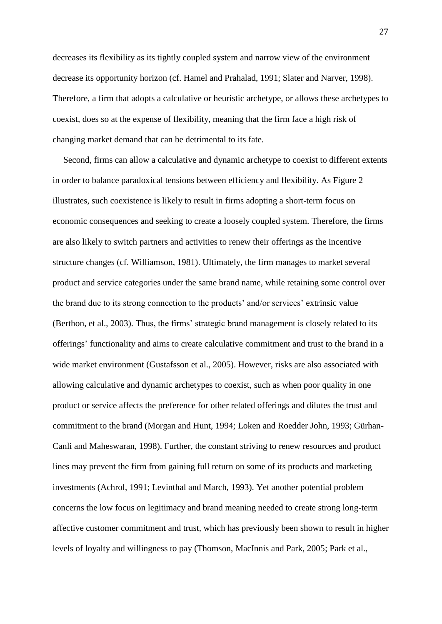decreases its flexibility as its tightly coupled system and narrow view of the environment decrease its opportunity horizon (cf. Hamel and Prahalad, 1991; Slater and Narver, 1998). Therefore, a firm that adopts a calculative or heuristic archetype, or allows these archetypes to coexist, does so at the expense of flexibility, meaning that the firm face a high risk of changing market demand that can be detrimental to its fate.

Second, firms can allow a calculative and dynamic archetype to coexist to different extents in order to balance paradoxical tensions between efficiency and flexibility. As Figure 2 illustrates, such coexistence is likely to result in firms adopting a short-term focus on economic consequences and seeking to create a loosely coupled system. Therefore, the firms are also likely to switch partners and activities to renew their offerings as the incentive structure changes (cf. Williamson, 1981). Ultimately, the firm manages to market several product and service categories under the same brand name, while retaining some control over the brand due to its strong connection to the products" and/or services" extrinsic value (Berthon, et al., 2003). Thus, the firms' strategic brand management is closely related to its offerings" functionality and aims to create calculative commitment and trust to the brand in a wide market environment (Gustafsson et al., 2005). However, risks are also associated with allowing calculative and dynamic archetypes to coexist, such as when poor quality in one product or service affects the preference for other related offerings and dilutes the trust and commitment to the brand (Morgan and Hunt, 1994; Loken and Roedder John, 1993; Gürhan-Canli and Maheswaran, 1998). Further, the constant striving to renew resources and product lines may prevent the firm from gaining full return on some of its products and marketing investments (Achrol, 1991; Levinthal and March, 1993). Yet another potential problem concerns the low focus on legitimacy and brand meaning needed to create strong long-term affective customer commitment and trust, which has previously been shown to result in higher levels of loyalty and willingness to pay (Thomson, MacInnis and Park, 2005; Park et al.,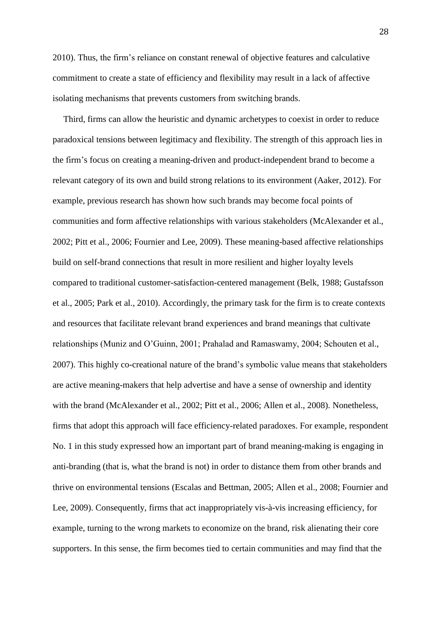2010). Thus, the firm"s reliance on constant renewal of objective features and calculative commitment to create a state of efficiency and flexibility may result in a lack of affective isolating mechanisms that prevents customers from switching brands.

Third, firms can allow the heuristic and dynamic archetypes to coexist in order to reduce paradoxical tensions between legitimacy and flexibility. The strength of this approach lies in the firm"s focus on creating a meaning-driven and product-independent brand to become a relevant category of its own and build strong relations to its environment (Aaker, 2012). For example, previous research has shown how such brands may become focal points of communities and form affective relationships with various stakeholders (McAlexander et al., 2002; Pitt et al., 2006; Fournier and Lee, 2009). These meaning-based affective relationships build on self-brand connections that result in more resilient and higher loyalty levels compared to traditional customer-satisfaction-centered management (Belk, 1988; Gustafsson et al., 2005; Park et al., 2010). Accordingly, the primary task for the firm is to create contexts and resources that facilitate relevant brand experiences and brand meanings that cultivate relationships (Muniz and O"Guinn, 2001; Prahalad and Ramaswamy, 2004; Schouten et al., 2007). This highly co-creational nature of the brand"s symbolic value means that stakeholders are active meaning-makers that help advertise and have a sense of ownership and identity with the brand (McAlexander et al., 2002; Pitt et al., 2006; Allen et al., 2008). Nonetheless, firms that adopt this approach will face efficiency-related paradoxes. For example, respondent No. 1 in this study expressed how an important part of brand meaning-making is engaging in anti-branding (that is, what the brand is not) in order to distance them from other brands and thrive on environmental tensions (Escalas and Bettman, 2005; Allen et al., 2008; Fournier and Lee, 2009). Consequently, firms that act inappropriately vis-à-vis increasing efficiency, for example, turning to the wrong markets to economize on the brand, risk alienating their core supporters. In this sense, the firm becomes tied to certain communities and may find that the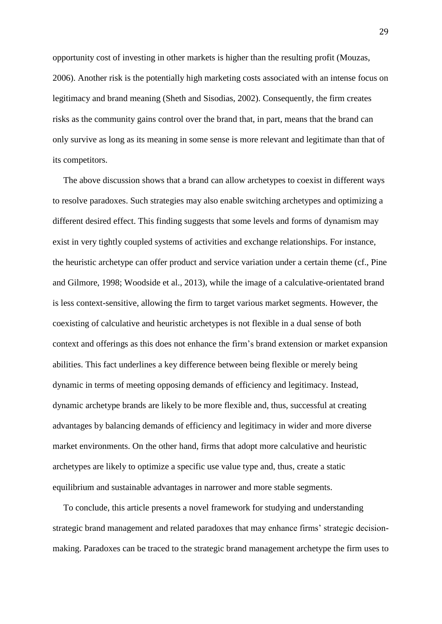opportunity cost of investing in other markets is higher than the resulting profit (Mouzas, 2006). Another risk is the potentially high marketing costs associated with an intense focus on legitimacy and brand meaning (Sheth and Sisodias, 2002). Consequently, the firm creates risks as the community gains control over the brand that, in part, means that the brand can only survive as long as its meaning in some sense is more relevant and legitimate than that of its competitors.

The above discussion shows that a brand can allow archetypes to coexist in different ways to resolve paradoxes. Such strategies may also enable switching archetypes and optimizing a different desired effect. This finding suggests that some levels and forms of dynamism may exist in very tightly coupled systems of activities and exchange relationships. For instance, the heuristic archetype can offer product and service variation under a certain theme (cf., Pine and Gilmore, 1998; Woodside et al., 2013), while the image of a calculative-orientated brand is less context-sensitive, allowing the firm to target various market segments. However, the coexisting of calculative and heuristic archetypes is not flexible in a dual sense of both context and offerings as this does not enhance the firm"s brand extension or market expansion abilities. This fact underlines a key difference between being flexible or merely being dynamic in terms of meeting opposing demands of efficiency and legitimacy. Instead, dynamic archetype brands are likely to be more flexible and, thus, successful at creating advantages by balancing demands of efficiency and legitimacy in wider and more diverse market environments. On the other hand, firms that adopt more calculative and heuristic archetypes are likely to optimize a specific use value type and, thus, create a static equilibrium and sustainable advantages in narrower and more stable segments.

To conclude, this article presents a novel framework for studying and understanding strategic brand management and related paradoxes that may enhance firms" strategic decisionmaking. Paradoxes can be traced to the strategic brand management archetype the firm uses to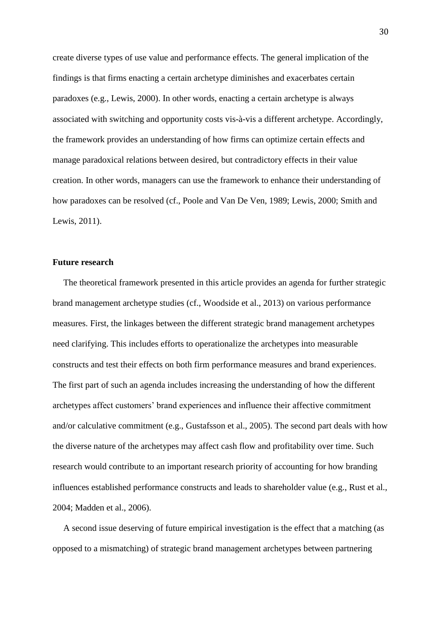create diverse types of use value and performance effects. The general implication of the findings is that firms enacting a certain archetype diminishes and exacerbates certain paradoxes (e.g., Lewis, 2000). In other words, enacting a certain archetype is always associated with switching and opportunity costs vis-à-vis a different archetype. Accordingly, the framework provides an understanding of how firms can optimize certain effects and manage paradoxical relations between desired, but contradictory effects in their value creation. In other words, managers can use the framework to enhance their understanding of how paradoxes can be resolved (cf., Poole and Van De Ven, 1989; Lewis, 2000; Smith and Lewis, 2011).

#### **Future research**

The theoretical framework presented in this article provides an agenda for further strategic brand management archetype studies (cf., Woodside et al., 2013) on various performance measures. First, the linkages between the different strategic brand management archetypes need clarifying. This includes efforts to operationalize the archetypes into measurable constructs and test their effects on both firm performance measures and brand experiences. The first part of such an agenda includes increasing the understanding of how the different archetypes affect customers" brand experiences and influence their affective commitment and/or calculative commitment (e.g., Gustafsson et al., 2005). The second part deals with how the diverse nature of the archetypes may affect cash flow and profitability over time. Such research would contribute to an important research priority of accounting for how branding influences established performance constructs and leads to shareholder value (e.g., Rust et al., 2004; Madden et al., 2006).

A second issue deserving of future empirical investigation is the effect that a matching (as opposed to a mismatching) of strategic brand management archetypes between partnering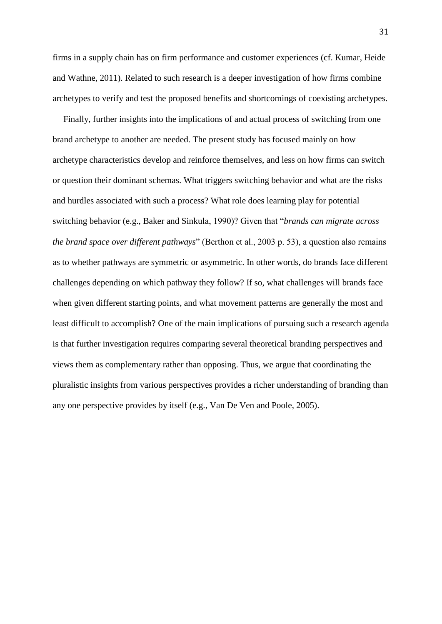firms in a supply chain has on firm performance and customer experiences (cf. Kumar, Heide and Wathne, 2011). Related to such research is a deeper investigation of how firms combine archetypes to verify and test the proposed benefits and shortcomings of coexisting archetypes.

Finally, further insights into the implications of and actual process of switching from one brand archetype to another are needed. The present study has focused mainly on how archetype characteristics develop and reinforce themselves, and less on how firms can switch or question their dominant schemas. What triggers switching behavior and what are the risks and hurdles associated with such a process? What role does learning play for potential switching behavior (e.g., Baker and Sinkula, 1990)? Given that "*brands can migrate across the brand space over different pathways*" (Berthon et al., 2003 p. 53), a question also remains as to whether pathways are symmetric or asymmetric. In other words, do brands face different challenges depending on which pathway they follow? If so, what challenges will brands face when given different starting points, and what movement patterns are generally the most and least difficult to accomplish? One of the main implications of pursuing such a research agenda is that further investigation requires comparing several theoretical branding perspectives and views them as complementary rather than opposing. Thus, we argue that coordinating the pluralistic insights from various perspectives provides a richer understanding of branding than any one perspective provides by itself (e.g., Van De Ven and Poole, 2005).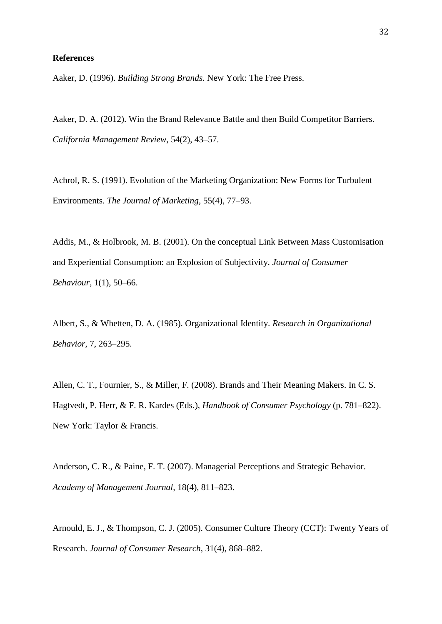## **References**

Aaker, D. (1996). *Building Strong Brands.* New York: The Free Press.

Aaker, D. A. (2012). Win the Brand Relevance Battle and then Build Competitor Barriers. *California Management Review*, 54(2), 43–57.

Achrol, R. S. (1991). Evolution of the Marketing Organization: New Forms for Turbulent Environments. *The Journal of Marketing*, 55(4), 77–93.

Addis, M., & Holbrook, M. B. (2001). On the conceptual Link Between Mass Customisation and Experiential Consumption: an Explosion of Subjectivity. *Journal of Consumer Behaviour*, 1(1), 50–66.

Albert, S., & Whetten, D. A. (1985). Organizational Identity. *Research in Organizational Behavior*, 7, 263–295.

Allen, C. T., Fournier, S., & Miller, F. (2008). Brands and Their Meaning Makers. In C. S. Hagtvedt, P. Herr, & F. R. Kardes (Eds.), *Handbook of Consumer Psychology* (p. 781–822). New York: Taylor & Francis.

Anderson, C. R., & Paine, F. T. (2007). Managerial Perceptions and Strategic Behavior. *Academy of Management Journal,* 18(4), 811–823.

Arnould, E. J., & Thompson, C. J. (2005). Consumer Culture Theory (CCT): Twenty Years of Research. *Journal of Consumer Research*, 31(4), 868–882.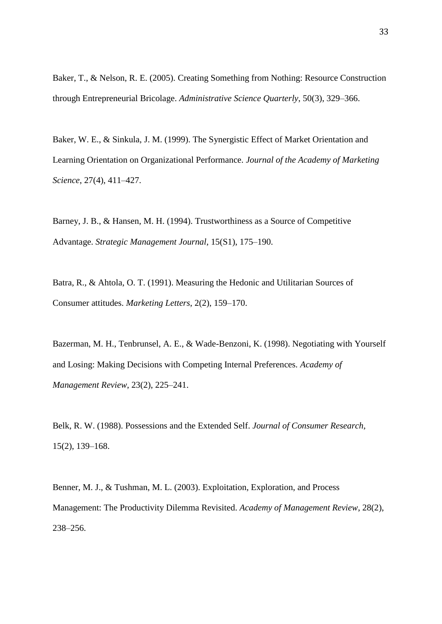Baker, T., & Nelson, R. E. (2005). Creating Something from Nothing: Resource Construction through Entrepreneurial Bricolage. *Administrative Science Quarterly*, 50(3), 329–366.

Baker, W. E., & Sinkula, J. M. (1999). The Synergistic Effect of Market Orientation and Learning Orientation on Organizational Performance. *Journal of the Academy of Marketing Science*, 27(4), 411–427.

Barney, J. B., & Hansen, M. H. (1994). Trustworthiness as a Source of Competitive Advantage. *Strategic Management Journal*, 15(S1), 175–190.

Batra, R., & Ahtola, O. T. (1991). Measuring the Hedonic and Utilitarian Sources of Consumer attitudes. *Marketing Letters*, 2(2), 159–170.

Bazerman, M. H., Tenbrunsel, A. E., & Wade-Benzoni, K. (1998). Negotiating with Yourself and Losing: Making Decisions with Competing Internal Preferences. *Academy of Management Review*, 23(2), 225–241.

Belk, R. W. (1988). Possessions and the Extended Self. *Journal of Consumer Research*, 15(2), 139–168.

Benner, M. J., & Tushman, M. L. (2003). Exploitation, Exploration, and Process Management: The Productivity Dilemma Revisited. *Academy of Management Review*, 28(2), 238–256.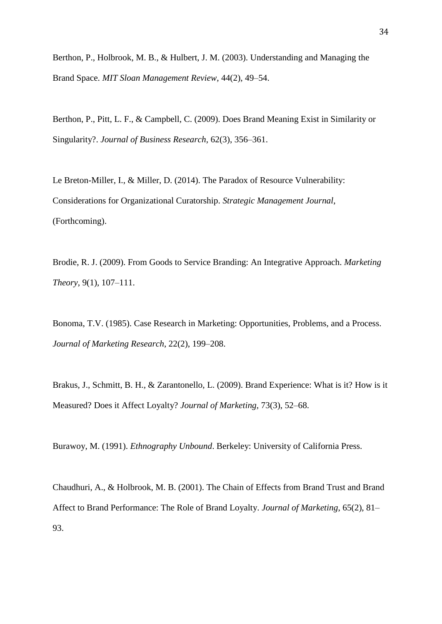Berthon, P., Holbrook, M. B., & Hulbert, J. M. (2003). Understanding and Managing the Brand Space. *MIT Sloan Management Review*, 44(2), 49–54.

Berthon, P., Pitt, L. F., & Campbell, C. (2009). Does Brand Meaning Exist in Similarity or Singularity?. *Journal of Business Research*, 62(3), 356–361.

Le Breton-Miller, I., & Miller, D. (2014). The Paradox of Resource Vulnerability: Considerations for Organizational Curatorship. *Strategic Management Journal*, (Forthcoming).

Brodie, R. J. (2009). From Goods to Service Branding: An Integrative Approach. *Marketing Theory*, 9(1), 107–111.

Bonoma, T.V. (1985). Case Research in Marketing: Opportunities, Problems, and a Process. *Journal of Marketing Research*, 22(2), 199–208.

Brakus, J., Schmitt, B. H., & Zarantonello, L. (2009). Brand Experience: What is it? How is it Measured? Does it Affect Loyalty? *Journal of Marketing*, 73(3), 52–68.

Burawoy, M. (1991). *Ethnography Unbound*. Berkeley: University of California Press.

Chaudhuri, A., & Holbrook, M. B. (2001). The Chain of Effects from Brand Trust and Brand Affect to Brand Performance: The Role of Brand Loyalty. *Journal of Marketing*, 65(2), 81– 93.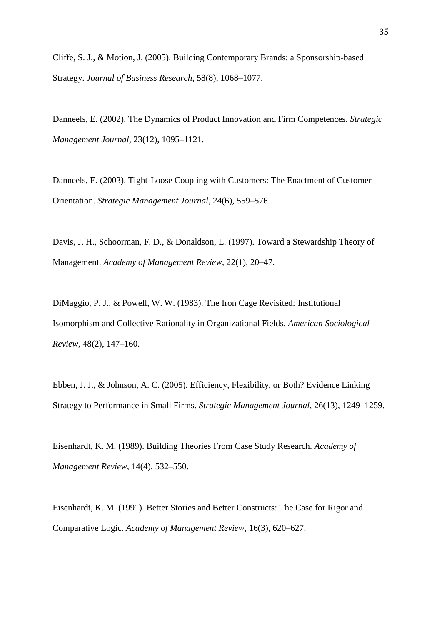Cliffe, S. J., & Motion, J. (2005). Building Contemporary Brands: a Sponsorship-based Strategy. *Journal of Business Research*, 58(8), 1068–1077.

Danneels, E. (2002). The Dynamics of Product Innovation and Firm Competences. *Strategic Management Journal*, 23(12), 1095–1121.

Danneels, E. (2003). Tight-Loose Coupling with Customers: The Enactment of Customer Orientation. *Strategic Management Journal*, 24(6), 559–576.

Davis, J. H., Schoorman, F. D., & Donaldson, L. (1997). Toward a Stewardship Theory of Management. *Academy of Management Review*, 22(1), 20–47.

DiMaggio, P. J., & Powell, W. W. (1983). The Iron Cage Revisited: Institutional Isomorphism and Collective Rationality in Organizational Fields. *American Sociological Review*, 48(2), 147–160.

Ebben, J. J., & Johnson, A. C. (2005). Efficiency, Flexibility, or Both? Evidence Linking Strategy to Performance in Small Firms. *Strategic Management Journal*, 26(13), 1249–1259.

Eisenhardt, K. M. (1989). Building Theories From Case Study Research. *Academy of Management Review,* 14(4), 532–550.

Eisenhardt, K. M. (1991). Better Stories and Better Constructs: The Case for Rigor and Comparative Logic. *Academy of Management Review,* 16(3), 620–627.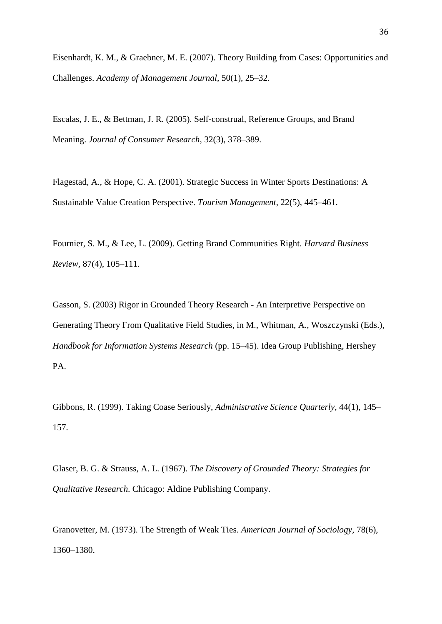Eisenhardt, K. M., & Graebner, M. E. (2007). Theory Building from Cases: Opportunities and Challenges. *Academy of Management Journal,* 50(1), 25–32.

Escalas, J. E., & Bettman, J. R. (2005). Self-construal, Reference Groups, and Brand Meaning. *Journal of Consumer Research*, 32(3), 378–389.

Flagestad, A., & Hope, C. A. (2001). Strategic Success in Winter Sports Destinations: A Sustainable Value Creation Perspective. *Tourism Management*, 22(5), 445–461.

Fournier, S. M., & Lee, L. (2009). Getting Brand Communities Right. *Harvard Business Review,* 87(4), 105–111.

Gasson, S. (2003) Rigor in Grounded Theory Research - An Interpretive Perspective on Generating Theory From Qualitative Field Studies, in M., Whitman, A., Woszczynski (Eds.), *Handbook for Information Systems Research* (pp. 15–45). Idea Group Publishing, Hershey PA.

Gibbons, R. (1999). Taking Coase Seriously, *Administrative Science Quarterly,* 44(1), 145– 157.

Glaser, B. G. & Strauss, A. L. (1967). *The Discovery of Grounded Theory: Strategies for Qualitative Research*. Chicago: Aldine Publishing Company.

Granovetter, M. (1973). The Strength of Weak Ties. *American Journal of Sociology*, 78(6), 1360–1380.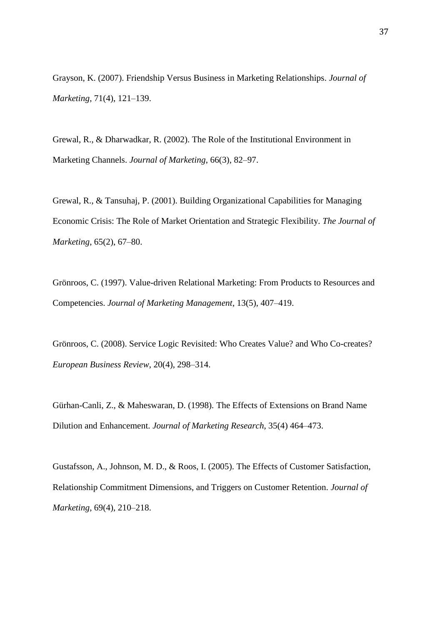Grayson, K. (2007). Friendship Versus Business in Marketing Relationships. *Journal of Marketing*, 71(4), 121–139.

Grewal, R., & Dharwadkar, R. (2002). The Role of the Institutional Environment in Marketing Channels. *Journal of Marketing*, 66(3), 82–97.

Grewal, R., & Tansuhaj, P. (2001). Building Organizational Capabilities for Managing Economic Crisis: The Role of Market Orientation and Strategic Flexibility. *The Journal of Marketing*, 65(2), 67–80.

Grönroos, C. (1997). Value-driven Relational Marketing: From Products to Resources and Competencies. *Journal of Marketing Management*, 13(5), 407–419.

Grönroos, C. (2008). Service Logic Revisited: Who Creates Value? and Who Co-creates? *European Business Review*, 20(4), 298–314.

Gürhan-Canli, Z., & Maheswaran, D. (1998). The Effects of Extensions on Brand Name Dilution and Enhancement. *Journal of Marketing Research*, 35(4) 464–473.

Gustafsson, A., Johnson, M. D., & Roos, I. (2005). The Effects of Customer Satisfaction, Relationship Commitment Dimensions, and Triggers on Customer Retention. *Journal of Marketing*, 69(4), 210–218.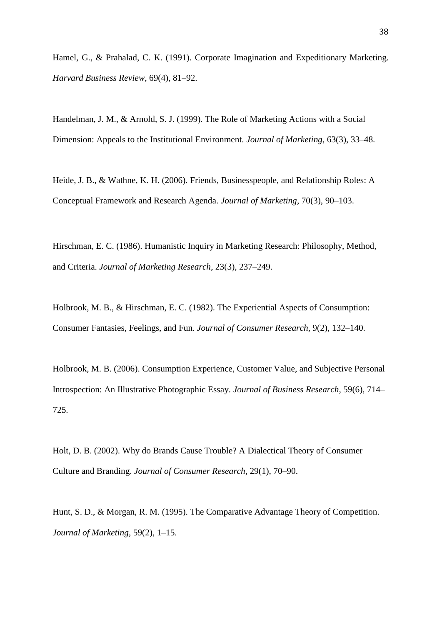Hamel, G., & Prahalad, C. K. (1991). Corporate Imagination and Expeditionary Marketing. *Harvard Business Review*, 69(4), 81–92.

Handelman, J. M., & Arnold, S. J. (1999). The Role of Marketing Actions with a Social Dimension: Appeals to the Institutional Environment. *Journal of Marketing*, 63(3), 33–48.

Heide, J. B., & Wathne, K. H. (2006). Friends, Businesspeople, and Relationship Roles: A Conceptual Framework and Research Agenda. *Journal of Marketing*, 70(3), 90–103.

Hirschman, E. C. (1986). Humanistic Inquiry in Marketing Research: Philosophy, Method, and Criteria. *Journal of Marketing Research*, 23(3), 237–249.

Holbrook, M. B., & Hirschman, E. C. (1982). The Experiential Aspects of Consumption: Consumer Fantasies, Feelings, and Fun. *Journal of Consumer Research*, 9(2), 132–140.

Holbrook, M. B. (2006). Consumption Experience, Customer Value, and Subjective Personal Introspection: An Illustrative Photographic Essay. *Journal of Business Research*, 59(6), 714– 725.

Holt, D. B. (2002). Why do Brands Cause Trouble? A Dialectical Theory of Consumer Culture and Branding. *Journal of Consumer Research*, 29(1), 70–90.

Hunt, S. D., & Morgan, R. M. (1995). The Comparative Advantage Theory of Competition. *Journal of Marketing*, 59(2), 1–15.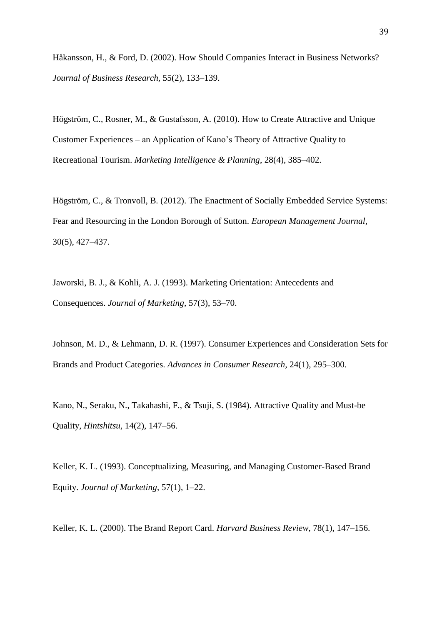Håkansson, H., & Ford, D. (2002). How Should Companies Interact in Business Networks? *Journal of Business Research*, 55(2), 133–139.

Högström, C., Rosner, M., & Gustafsson, A. (2010). How to Create Attractive and Unique Customer Experiences – an Application of Kano"s Theory of Attractive Quality to Recreational Tourism. *Marketing Intelligence & Planning*, 28(4), 385–402.

Högström, C., & Tronvoll, B. (2012). The Enactment of Socially Embedded Service Systems: Fear and Resourcing in the London Borough of Sutton. *European Management Journal*, 30(5), 427–437.

Jaworski, B. J., & Kohli, A. J. (1993). Marketing Orientation: Antecedents and Consequences. *Journal of Marketing,* 57(3), 53–70.

Johnson, M. D., & Lehmann, D. R. (1997). Consumer Experiences and Consideration Sets for Brands and Product Categories. *Advances in Consumer Research,* 24(1), 295–300.

Kano, N., Seraku, N., Takahashi, F., & Tsuji, S. (1984). Attractive Quality and Must-be Quality, *Hintshitsu,* 14(2), 147–56.

Keller, K. L. (1993). Conceptualizing, Measuring, and Managing Customer-Based Brand Equity. *Journal of Marketing*, 57(1), 1–22.

Keller, K. L. (2000). The Brand Report Card. *Harvard Business Review*, 78(1), 147–156.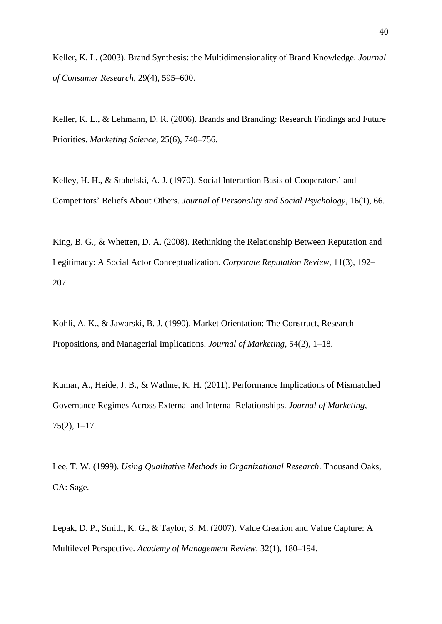Keller, K. L. (2003). Brand Synthesis: the Multidimensionality of Brand Knowledge. *Journal of Consumer Research*, 29(4), 595–600.

Keller, K. L., & Lehmann, D. R. (2006). Brands and Branding: Research Findings and Future Priorities. *Marketing Science*, 25(6), 740–756.

Kelley, H. H., & Stahelski, A. J. (1970). Social Interaction Basis of Cooperators' and Competitors" Beliefs About Others. *Journal of Personality and Social Psychology*, 16(1), 66.

King, B. G., & Whetten, D. A. (2008). Rethinking the Relationship Between Reputation and Legitimacy: A Social Actor Conceptualization. *Corporate Reputation Review*, 11(3), 192– 207.

Kohli, A. K., & Jaworski, B. J. (1990). Market Orientation: The Construct, Research Propositions, and Managerial Implications. *Journal of Marketing*, 54(2), 1–18.

Kumar, A., Heide, J. B., & Wathne, K. H. (2011). Performance Implications of Mismatched Governance Regimes Across External and Internal Relationships. *Journal of Marketing*, 75(2), 1–17.

Lee, T. W. (1999). *Using Qualitative Methods in Organizational Research*. Thousand Oaks, CA: Sage.

Lepak, D. P., Smith, K. G., & Taylor, S. M. (2007). Value Creation and Value Capture: A Multilevel Perspective. *Academy of Management Review,* 32(1), 180–194.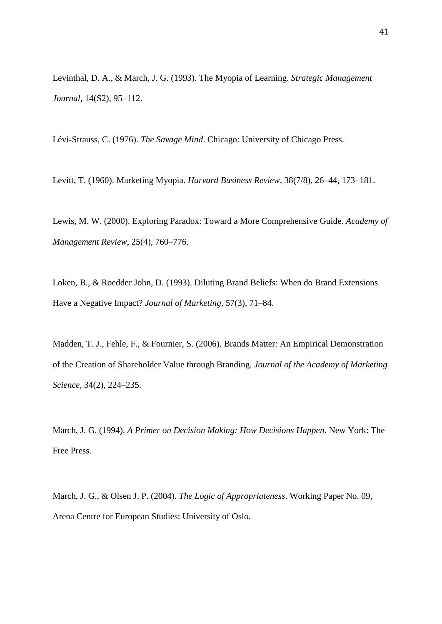Levinthal, D. A., & March, J. G. (1993). The Myopia of Learning. *Strategic Management Journal*, 14(S2), 95–112.

Lévi-Strauss, C. (1976). *The Savage Mind*. Chicago: University of Chicago Press.

Levitt, T. (1960). Marketing Myopia. *Harvard Business Review*, 38(7/8), 26–44, 173–181.

Lewis, M. W. (2000). Exploring Paradox: Toward a More Comprehensive Guide. *Academy of Management Review*, 25(4), 760–776.

Loken, B., & Roedder John, D. (1993). Diluting Brand Beliefs: When do Brand Extensions Have a Negative Impact? *Journal of Marketing,* 57(3), 71–84.

Madden, T. J., Fehle, F., & Fournier, S. (2006). Brands Matter: An Empirical Demonstration of the Creation of Shareholder Value through Branding. *Journal of the Academy of Marketing Science*, 34(2), 224–235.

March, J. G. (1994). *A Primer on Decision Making: How Decisions Happen*. New York: The Free Press.

March, J. G., & Olsen J. P. (2004). *The Logic of Appropriateness*. Working Paper No. 09, Arena Centre for European Studies: University of Oslo.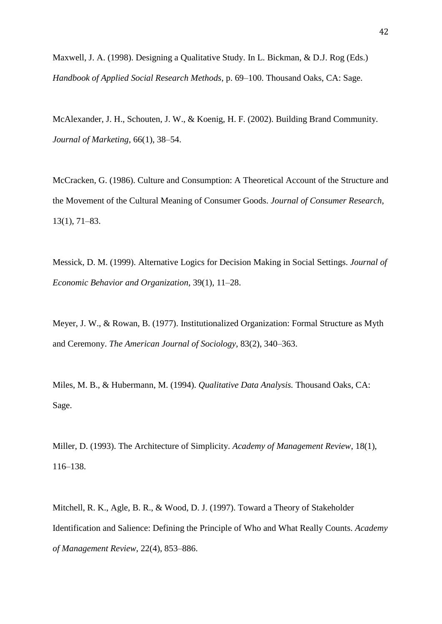Maxwell, J. A. (1998). Designing a Qualitative Study. In L. Bickman, & D.J. Rog (Eds.) *Handbook of Applied Social Research Methods*, p. 69–100. Thousand Oaks, CA: Sage.

McAlexander, J. H., Schouten, J. W., & Koenig, H. F. (2002). Building Brand Community. *Journal of Marketing*, 66(1), 38–54.

McCracken, G. (1986). Culture and Consumption: A Theoretical Account of the Structure and the Movement of the Cultural Meaning of Consumer Goods. *Journal of Consumer Research*, 13(1), 71–83.

Messick, D. M. (1999). Alternative Logics for Decision Making in Social Settings. *Journal of Economic Behavior and Organization*, 39(1), 11–28.

Meyer, J. W., & Rowan, B. (1977). Institutionalized Organization: Formal Structure as Myth and Ceremony. *The American Journal of Sociology*, 83(2), 340–363.

Miles, M. B., & Hubermann, M. (1994). *Qualitative Data Analysis.* Thousand Oaks, CA: Sage.

Miller, D. (1993). The Architecture of Simplicity. *Academy of Management Review*, 18(1), 116–138.

Mitchell, R. K., Agle, B. R., & Wood, D. J. (1997). Toward a Theory of Stakeholder Identification and Salience: Defining the Principle of Who and What Really Counts. *Academy of Management Review*, 22(4), 853–886.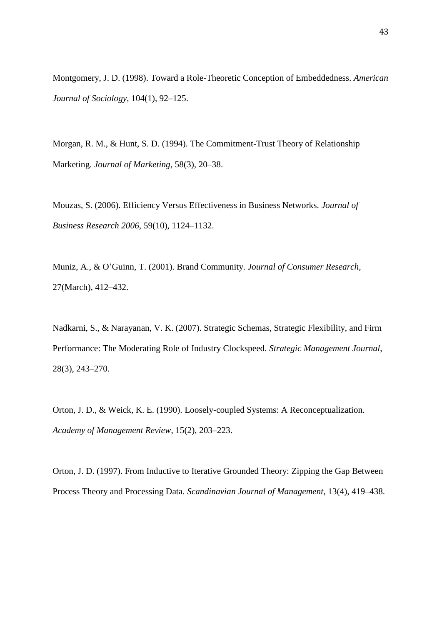Montgomery, J. D. (1998). Toward a Role-Theoretic Conception of Embeddedness. *American Journal of Sociology*, 104(1), 92–125.

Morgan, R. M., & Hunt, S. D. (1994). The Commitment-Trust Theory of Relationship Marketing. *Journal of Marketing*, 58(3), 20–38.

Mouzas, S. (2006). Efficiency Versus Effectiveness in Business Networks. *Journal of Business Research 2006*, 59(10), 1124–1132.

Muniz, A., & O"Guinn, T. (2001). Brand Community. *Journal of Consumer Research,*  27(March), 412–432.

Nadkarni, S., & Narayanan, V. K. (2007). Strategic Schemas, Strategic Flexibility, and Firm Performance: The Moderating Role of Industry Clockspeed. *Strategic Management Journal*, 28(3), 243–270.

Orton, J. D., & Weick, K. E. (1990). Loosely-coupled Systems: A Reconceptualization. *Academy of Management Review*, 15(2), 203–223.

Orton, J. D. (1997). From Inductive to Iterative Grounded Theory: Zipping the Gap Between Process Theory and Processing Data. *Scandinavian Journal of Management*, 13(4), 419–438.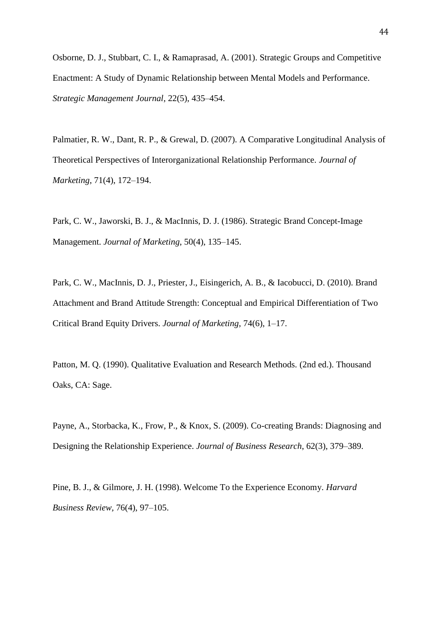Osborne, D. J., Stubbart, C. I., & Ramaprasad, A. (2001). Strategic Groups and Competitive Enactment: A Study of Dynamic Relationship between Mental Models and Performance. *Strategic Management Journal*, 22(5), 435–454.

Palmatier, R. W., Dant, R. P., & Grewal, D. (2007). A Comparative Longitudinal Analysis of Theoretical Perspectives of Interorganizational Relationship Performance. *Journal of Marketing*, 71(4), 172–194.

Park, C. W., Jaworski, B. J., & MacInnis, D. J. (1986). Strategic Brand Concept-Image Management. *Journal of Marketing*, 50(4), 135–145.

Park, C. W., MacInnis, D. J., Priester, J., Eisingerich, A. B., & Iacobucci, D. (2010). Brand Attachment and Brand Attitude Strength: Conceptual and Empirical Differentiation of Two Critical Brand Equity Drivers. *Journal of Marketing*, 74(6), 1–17.

Patton, M. Q. (1990). Qualitative Evaluation and Research Methods*.* (2nd ed.). Thousand Oaks, CA: Sage.

Payne, A., Storbacka, K., Frow, P., & Knox, S. (2009). Co-creating Brands: Diagnosing and Designing the Relationship Experience. *Journal of Business Research*, 62(3), 379–389.

Pine, B. J., & Gilmore, J. H. (1998). Welcome To the Experience Economy. *Harvard Business Review,* 76(4), 97–105.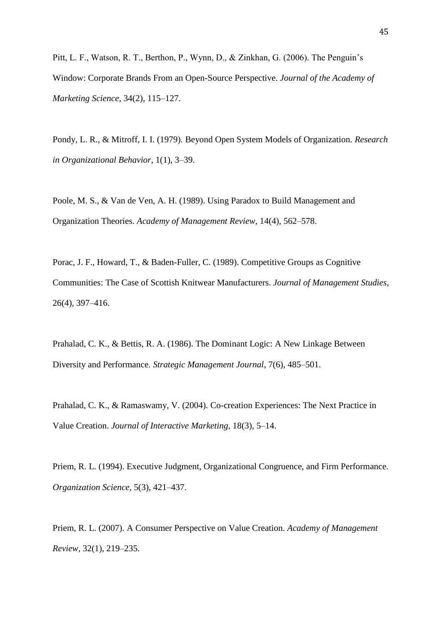Pitt, L. F., Watson, R. T., Berthon, P., Wynn, D., & Zinkhan, G. (2006). The Penguin"s Window: Corporate Brands From an Open-Source Perspective. *Journal of the Academy of Marketing Science*, 34(2), 115–127.

Pondy, L. R., & Mitroff, I. I. (1979). Beyond Open System Models of Organization. *Research in Organizational Behavior*, 1(1), 3–39.

Poole, M. S., & Van de Ven, A. H. (1989). Using Paradox to Build Management and Organization Theories. *Academy of Management Review*, 14(4), 562–578.

Porac, J. F., Howard, T., & Baden-Fuller, C. (1989). Competitive Groups as Cognitive Communities: The Case of Scottish Knitwear Manufacturers. *Journal of Management Studies*, 26(4), 397–416.

Prahalad, C. K., & Bettis, R. A. (1986). The Dominant Logic: A New Linkage Between Diversity and Performance. *Strategic Management Journal*, 7(6), 485–501.

Prahalad, C. K., & Ramaswamy, V. (2004). Co-creation Experiences: The Next Practice in Value Creation. *Journal of Interactive Marketing*, 18(3), 5–14.

Priem, R. L. (1994). Executive Judgment, Organizational Congruence, and Firm Performance. *Organization Science*, 5(3), 421–437.

Priem, R. L. (2007). A Consumer Perspective on Value Creation. *Academy of Management Review*, 32(1), 219–235.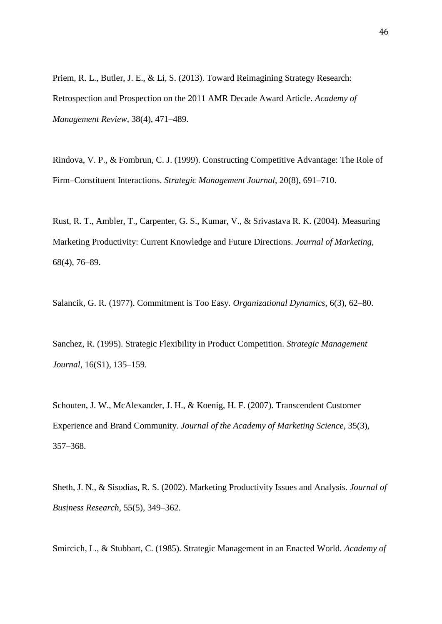Priem, R. L., Butler, J. E., & Li, S. (2013). Toward Reimagining Strategy Research: Retrospection and Prospection on the 2011 AMR Decade Award Article. *Academy of Management Review*, 38(4), 471–489.

Rindova, V. P., & Fombrun, C. J. (1999). Constructing Competitive Advantage: The Role of Firm–Constituent Interactions. *Strategic Management Journal*, 20(8), 691–710.

Rust, R. T., Ambler, T., Carpenter, G. S., Kumar, V., & Srivastava R. K. (2004). Measuring Marketing Productivity: Current Knowledge and Future Directions. *Journal of Marketing*, 68(4), 76–89.

Salancik, G. R. (1977). Commitment is Too Easy. *Organizational Dynamics*, 6(3), 62–80.

Sanchez, R. (1995). Strategic Flexibility in Product Competition. *Strategic Management Journal*, 16(S1), 135–159.

Schouten, J. W., McAlexander, J. H., & Koenig, H. F. (2007). Transcendent Customer Experience and Brand Community. *Journal of the Academy of Marketing Science*, 35(3), 357–368.

Sheth, J. N., & Sisodias, R. S. (2002). Marketing Productivity Issues and Analysis. *Journal of Business Research*, 55(5), 349–362.

Smircich, L., & Stubbart, C. (1985). Strategic Management in an Enacted World. *Academy of*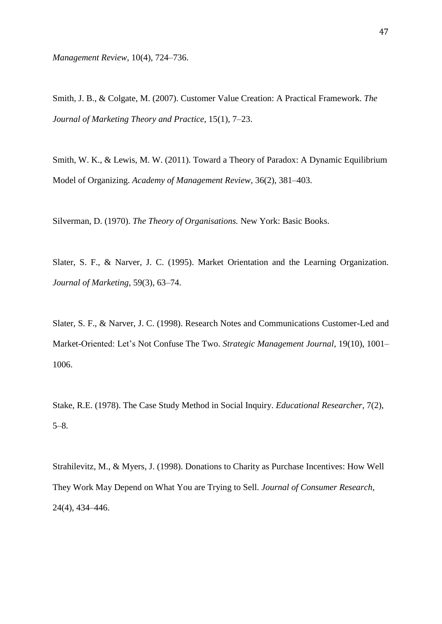Smith, J. B., & Colgate, M. (2007). Customer Value Creation: A Practical Framework. *The Journal of Marketing Theory and Practice*, 15(1), 7–23.

Smith, W. K., & Lewis, M. W. (2011). Toward a Theory of Paradox: A Dynamic Equilibrium Model of Organizing. *Academy of Management Review*, 36(2), 381–403.

Silverman, D. (1970). *The Theory of Organisations.* New York: Basic Books.

Slater, S. F., & Narver, J. C. (1995). Market Orientation and the Learning Organization. *Journal of Marketing*, 59(3), 63–74.

Slater, S. F., & Narver, J. C. (1998). Research Notes and Communications Customer-Led and Market-Oriented: Let"s Not Confuse The Two. *Strategic Management Journal*, 19(10), 1001– 1006.

Stake, R.E. (1978). The Case Study Method in Social Inquiry. *Educational Researcher*, 7(2), 5–8.

Strahilevitz, M., & Myers, J. (1998). Donations to Charity as Purchase Incentives: How Well They Work May Depend on What You are Trying to Sell. *Journal of Consumer Research*, 24(4), 434–446.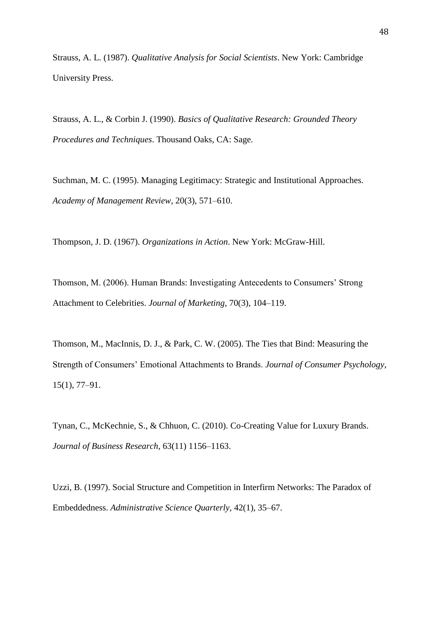Strauss, A. L. (1987). *Qualitative Analysis for Social Scientists*. New York: Cambridge University Press.

Strauss, A. L., & Corbin J. (1990). *Basics of Qualitative Research: Grounded Theory Procedures and Techniques*. Thousand Oaks, CA: Sage.

Suchman, M. C. (1995). Managing Legitimacy: Strategic and Institutional Approaches. *Academy of Management Review*, 20(3), 571–610.

Thompson, J. D. (1967). *Organizations in Action*. New York: McGraw-Hill.

Thomson, M. (2006). Human Brands: Investigating Antecedents to Consumers" Strong Attachment to Celebrities. *Journal of Marketing*, 70(3), 104–119.

Thomson, M., MacInnis, D. J., & Park, C. W. (2005). The Ties that Bind: Measuring the Strength of Consumers" Emotional Attachments to Brands. *Journal of Consumer Psychology*, 15(1), 77–91.

Tynan, C., McKechnie, S., & Chhuon, C. (2010). Co-Creating Value for Luxury Brands. *Journal of Business Research*, 63(11) 1156–1163.

Uzzi, B. (1997). Social Structure and Competition in Interfirm Networks: The Paradox of Embeddedness. *Administrative Science Quarterly*, 42(1), 35–67.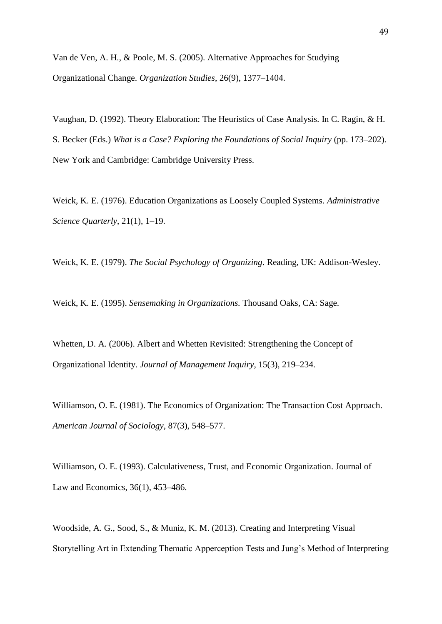Van de Ven, A. H., & Poole, M. S. (2005). Alternative Approaches for Studying Organizational Change. *Organization Studies*, 26(9), 1377–1404.

Vaughan, D. (1992). Theory Elaboration: The Heuristics of Case Analysis. In C. Ragin, & H. S. Becker (Eds.) *What is a Case? Exploring the Foundations of Social Inquiry* (pp. 173–202). New York and Cambridge: Cambridge University Press.

Weick, K. E. (1976). Education Organizations as Loosely Coupled Systems. *Administrative Science Quarterly*, 21(1), 1–19.

Weick, K. E. (1979). *The Social Psychology of Organizing*. Reading, UK: Addison-Wesley.

Weick, K. E. (1995). *Sensemaking in Organizations.* Thousand Oaks, CA: Sage.

Whetten, D. A. (2006). Albert and Whetten Revisited: Strengthening the Concept of Organizational Identity. *Journal of Management Inquiry*, 15(3), 219–234.

Williamson, O. E. (1981). The Economics of Organization: The Transaction Cost Approach. *American Journal of Sociology*, 87(3), 548–577.

Williamson, O. E. (1993). Calculativeness, Trust, and Economic Organization. Journal of Law and Economics, 36(1), 453–486.

Woodside, A. G., Sood, S., & Muniz, K. M. (2013). Creating and Interpreting Visual Storytelling Art in Extending Thematic Apperception Tests and Jung"s Method of Interpreting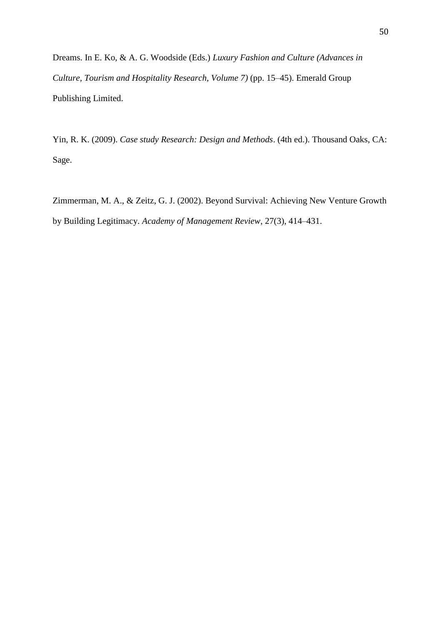Dreams. In E. Ko, & A. G. Woodside (Eds.) *Luxury Fashion and Culture (Advances in Culture, Tourism and Hospitality Research, Volume 7)* (pp. 15–45). Emerald Group Publishing Limited.

Yin, R. K. (2009). *Case study Research: Design and Methods*. (4th ed.). Thousand Oaks, CA: Sage.

Zimmerman, M. A., & Zeitz, G. J. (2002). Beyond Survival: Achieving New Venture Growth by Building Legitimacy. *Academy of Management Review*, 27(3), 414–431.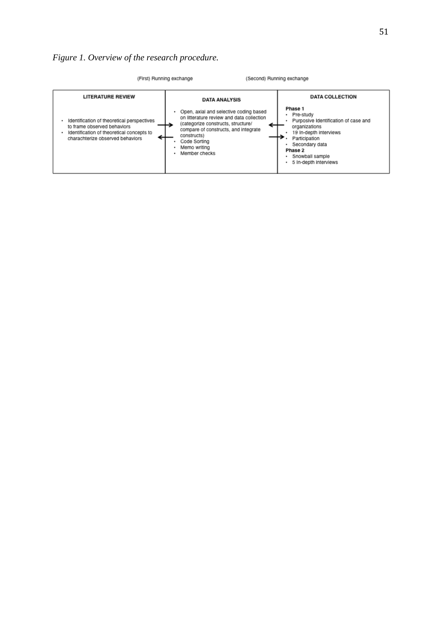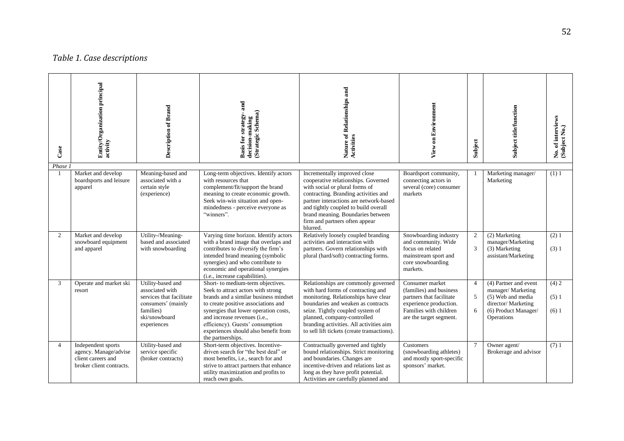# *Table 1. Case descriptions*

| Case<br>Phase 1 | Entity/Organization principal<br>activity                                                     | Description of Brand                                                                                                                | Basis for strategy- and<br>(Strategic Schema)<br>decision-making                                                                                                                                                                                                                                                                  | Nature of Relationships and<br>Activities                                                                                                                                                                                                                                                                            | View on Environment                                                                                                                                   | Subject                  | Subject title/function                                                                                                      | No. of interviews<br>(Subject No.) |
|-----------------|-----------------------------------------------------------------------------------------------|-------------------------------------------------------------------------------------------------------------------------------------|-----------------------------------------------------------------------------------------------------------------------------------------------------------------------------------------------------------------------------------------------------------------------------------------------------------------------------------|----------------------------------------------------------------------------------------------------------------------------------------------------------------------------------------------------------------------------------------------------------------------------------------------------------------------|-------------------------------------------------------------------------------------------------------------------------------------------------------|--------------------------|-----------------------------------------------------------------------------------------------------------------------------|------------------------------------|
|                 | Market and develop<br>boardsports and leisure<br>apparel                                      | Meaning-based and<br>associated with a<br>certain style<br>(experience)                                                             | Long-term objectives. Identify actors<br>with resources that<br>complement/fit/support the brand<br>meaning to create economic growth.<br>Seek win-win situation and open-<br>mindedness - perceive everyone as<br>"winners".                                                                                                     | Incrementally improved close<br>cooperative relationships. Governed<br>with social or plural forms of<br>contracting. Branding activities and<br>partner interactions are network-based<br>and tightly coupled to build overall<br>brand meaning. Boundaries between<br>firm and partners often appear<br>blurred.   | Boardsport community,<br>connecting actors in<br>several (core) consumer<br>markets                                                                   |                          | Marketing manager/<br>Marketing                                                                                             | $(1)$ 1                            |
| $\overline{2}$  | Market and develop<br>snowboard equipment<br>and apparel                                      | Utility-/Meaning-<br>based and associated<br>with snowboarding                                                                      | Varying time horizon. Identify actors<br>with a brand image that overlaps and<br>contributes to diversify the firm's<br>intended brand meaning (symbolic<br>synergies) and who contribute to<br>economic and operational synergies<br>(i.e., increase capabilities).                                                              | Relatively loosely coupled branding<br>activities and interaction with<br>partners. Govern relationships with<br>plural (hard/soft) contracting forms.                                                                                                                                                               | Snowboarding industry<br>and community. Wide<br>focus on related<br>mainstream sport and<br>core snowboarding<br>markets.                             | 2<br>3                   | (2) Marketing<br>manager/Marketing<br>(3) Marketing<br>assistant/Marketing                                                  | $(2)$ 1<br>(3) 1                   |
| 3               | Operate and market ski<br>resort                                                              | Utility-based and<br>associated with<br>services that facilitate<br>consumers' (mainly<br>families)<br>ski/snowboard<br>experiences | Short- to medium-term objectives.<br>Seek to attract actors with strong<br>brands and a similar business mindset<br>to create positive associations and<br>synergies that lower operation costs,<br>and increase revenues (i.e.,<br>efficiency). Guests' consumption<br>experiences should also benefit from<br>the partnerships. | Relationships are commonly governed<br>with hard forms of contracting and<br>monitoring. Relationships have clear<br>boundaries and weaken as contracts<br>seize. Tightly coupled system of<br>planned, company-controlled<br>branding activities. All activities aim<br>to sell lift tickets (create transactions). | Consumer market<br>(families) and business<br>partners that facilitate<br>experience production.<br>Families with children<br>are the target segment. | $\overline{4}$<br>5<br>6 | (4) Partner and event<br>manager/Marketing<br>(5) Web and media<br>director/Marketing<br>(6) Product Manager/<br>Operations | (4) 2<br>(5)1<br>(6)1              |
| $\overline{4}$  | Independent sports<br>agency. Manage/advise<br>client careers and<br>broker client contracts. | Utility-based and<br>service specific<br>(broker contracts)                                                                         | Short-term objectives. Incentive-<br>driven search for "the best deal" or<br>most benefits, i.e., search for and<br>strive to attract partners that enhance<br>utility maximization and profits to<br>reach own goals.                                                                                                            | Contractually governed and tightly<br>bound relationships. Strict monitoring<br>and boundaries. Changes are<br>incentive-driven and relations last as<br>long as they have profit potential.<br>Activities are carefully planned and                                                                                 | Customers<br>(snowboarding athletes)<br>and mostly sport-specific<br>sponsors' market.                                                                | $\tau$                   | Owner agent/<br>Brokerage and advisor                                                                                       | (7)1                               |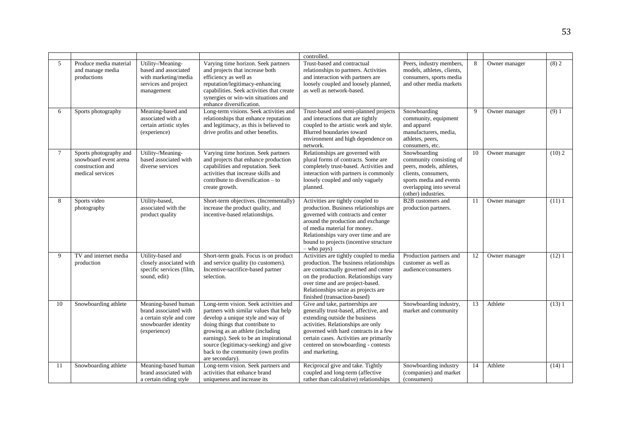|                |                                                                                         |                                                                                                                  |                                                                                                                                                                                                                                                                                                                                        | controlled.                                                                                                                                                                                                                                                                                   |                                                                                                                                                                          |    |               |        |
|----------------|-----------------------------------------------------------------------------------------|------------------------------------------------------------------------------------------------------------------|----------------------------------------------------------------------------------------------------------------------------------------------------------------------------------------------------------------------------------------------------------------------------------------------------------------------------------------|-----------------------------------------------------------------------------------------------------------------------------------------------------------------------------------------------------------------------------------------------------------------------------------------------|--------------------------------------------------------------------------------------------------------------------------------------------------------------------------|----|---------------|--------|
| 5              | Produce media material<br>and manage media<br>productions                               | Utility-/Meaning-<br>based and associated<br>with marketing/media<br>services and project<br>management          | Varying time horizon. Seek partners<br>and projects that increase both<br>efficiency as well as<br>reputation/legitimacy-enhancing<br>capabilities. Seek activities that create<br>synergies or win-win situations and<br>enhance diversification.                                                                                     | Trust-based and contractual<br>relationships to partners. Activities<br>and interaction with partners are<br>loosely coupled and loosely planned,<br>as well as network-based.                                                                                                                | Peers, industry members,<br>models, athletes, clients,<br>consumers, sports media<br>and other media markets                                                             | 8  | Owner manager | (8) 2  |
| 6              | Sports photography                                                                      | Meaning-based and<br>associated with a<br>certain artistic styles<br>(experience)                                | Long-term visions. Seek activities and<br>relationships that enhance reputation<br>and legitimacy, as this is believed to<br>drive profits and other benefits.                                                                                                                                                                         | Trust-based and semi-planned projects<br>and interactions that are tightly<br>coupled to the artistic work and style.<br>Blurred boundaries toward<br>environment and high dependence on<br>network.                                                                                          | Snowboarding<br>community, equipment<br>and apparel<br>manufacturers, media,<br>athletes, peers,<br>consumers, etc.                                                      | 9  | Owner manager | (9)1   |
| $\overline{7}$ | Sports photography and<br>snowboard event arena<br>construction and<br>medical services | Utility-/Meaning-<br>based associated with<br>diverse services                                                   | Varying time horizon. Seek partners<br>and projects that enhance production<br>capabilities and reputation. Seek<br>activities that increase skills and<br>contribute to diversification – to<br>create growth.                                                                                                                        | Relationships are governed with<br>plural forms of contracts. Some are<br>completely trust-based. Activities and<br>interaction with partners is commonly<br>loosely coupled and only vaguely<br>planned.                                                                                     | Snowboarding<br>community consisting of<br>peers, models, athletes,<br>clients, consumers,<br>sports media and events<br>overlapping into several<br>(other) industries. | 10 | Owner manager | (10) 2 |
| 8              | Sports video<br>photography                                                             | Utility-based,<br>associated with the<br>product quality                                                         | Short-term objectives. (Incrementally)<br>increase the product quality, and<br>incentive-based relationships.                                                                                                                                                                                                                          | Activities are tightly coupled to<br>production. Business relationships are<br>governed with contracts and center<br>around the production and exchange<br>of media material for money.<br>Relationships vary over time and are<br>bound to projects (incentive structure<br>- who pays)      | B <sub>2</sub> B customers and<br>production partners.                                                                                                                   | 11 | Owner manager | (11)1  |
| 9              | TV and internet media<br>production                                                     | Utility-based and<br>closely associated with<br>specific services (film,<br>sound, edit)                         | Short-term goals. Focus is on product<br>and service quality (to customers).<br>Incentive-sacrifice-based partner<br>selection.                                                                                                                                                                                                        | Activities are tightly coupled to media<br>production. The business relationships<br>are contractually governed and center<br>on the production. Relationships vary<br>over time and are project-based.<br>Relationships seize as projects are<br>finished (transaction-based)                | Production partners and<br>customer as well as<br>audience/consumers                                                                                                     | 12 | Owner manager | (12)1  |
| 10             | Snowboarding athlete                                                                    | Meaning-based human<br>brand associated with<br>a certain style and core<br>snowboarder identity<br>(experience) | Long-term vision. Seek activities and<br>partners with similar values that help<br>develop a unique style and way of<br>doing things that contribute to<br>growing as an athlete (including<br>earnings). Seek to be an inspirational<br>source (legitimacy-seeking) and give<br>back to the community (own profits<br>are secondary). | Give and take, partnerships are<br>generally trust-based, affective, and<br>extending outside the business<br>activities. Relationships are only<br>governed with hard contracts in a few<br>certain cases. Activities are primarily<br>centered on snowboarding - contests<br>and marketing. | Snowboarding industry,<br>market and community                                                                                                                           | 13 | Athlete       | (13)1  |
| 11             | Snowboarding athlete                                                                    | Meaning-based human<br>brand associated with<br>a certain riding style                                           | Long-term vision. Seek partners and<br>activities that enhance brand<br>uniqueness and increase its                                                                                                                                                                                                                                    | Reciprocal give and take. Tightly<br>coupled and long-term (affective<br>rather than calculative) relationships                                                                                                                                                                               | Snowboarding industry<br>(companies) and market<br>(consumers)                                                                                                           | 14 | Athlete       | (14)1  |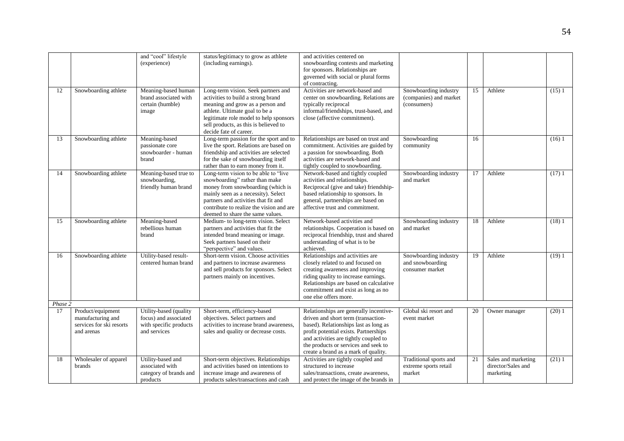|         |                                                                                  | and "cool" lifestyle<br>(experience)                                                      | status/legitimacy to grow as athlete<br>(including earnings).                                                                                                                                                                                                               | and activities centered on<br>snowboarding contests and marketing<br>for sponsors. Relationships are<br>governed with social or plural forms<br>of contracting.                                                                                                                          |                                                                |    |                                                        |       |
|---------|----------------------------------------------------------------------------------|-------------------------------------------------------------------------------------------|-----------------------------------------------------------------------------------------------------------------------------------------------------------------------------------------------------------------------------------------------------------------------------|------------------------------------------------------------------------------------------------------------------------------------------------------------------------------------------------------------------------------------------------------------------------------------------|----------------------------------------------------------------|----|--------------------------------------------------------|-------|
| 12      | Snowboarding athlete                                                             | Meaning-based human<br>brand associated with<br>certain (humble)<br>image                 | Long-term vision. Seek partners and<br>activities to build a strong brand<br>meaning and grow as a person and<br>athlete. Ultimate goal to be a<br>legitimate role model to help sponsors<br>sell products, as this is believed to<br>decide fate of career.                | Activities are network-based and<br>center on snowboarding. Relations are<br>typically reciprocal<br>informal/friendships, trust-based, and<br>close (affective commitment).                                                                                                             | Snowboarding industry<br>(companies) and market<br>(consumers) | 15 | Athlete                                                | (15)1 |
| 13      | Snowboarding athlete                                                             | Meaning-based<br>passionate core<br>snowboarder - human<br>brand                          | Long-term passion for the sport and to<br>live the sport. Relations are based on<br>friendship and activities are selected<br>for the sake of snowboarding itself<br>rather than to earn money from it.                                                                     | Relationships are based on trust and<br>commitment. Activities are guided by<br>a passion for snowboarding. Both<br>activities are network-based and<br>tightly coupled to snowboarding.                                                                                                 | Snowboarding<br>community                                      | 16 |                                                        | (16)1 |
| 14      | Snowboarding athlete                                                             | Meaning-based true to<br>snowboarding,<br>friendly human brand                            | Long-term vision to be able to "live"<br>snowboarding" rather than make<br>money from snowboarding (which is<br>mainly seen as a necessity). Select<br>partners and activities that fit and<br>contribute to realize the vision and are<br>deemed to share the same values. | Network-based and tightly coupled<br>activities and relationships.<br>Reciprocal (give and take) friendship-<br>based relationship to sponsors. In<br>general, partnerships are based on<br>affective trust and commitment.                                                              | Snowboarding industry<br>and market                            | 17 | Athlete                                                | (17)1 |
| 15      | Snowboarding athlete                                                             | Meaning-based<br>rebellious human<br>brand                                                | Medium- to long-term vision. Select<br>partners and activities that fit the<br>intended brand meaning or image.<br>Seek partners based on their<br>"perspective" and values.                                                                                                | Network-based activities and<br>relationships. Cooperation is based on<br>reciprocal friendship, trust and shared<br>understanding of what is to be<br>achieved.                                                                                                                         | Snowboarding industry<br>and market                            | 18 | Athlete                                                | (18)1 |
| 16      | Snowboarding athlete                                                             | Utility-based result-<br>centered human brand                                             | Short-term vision. Choose activities<br>and partners to increase awareness<br>and sell products for sponsors. Select<br>partners mainly on incentives.                                                                                                                      | Relationships and activities are<br>closely related to and focused on<br>creating awareness and improving<br>riding quality to increase earnings.<br>Relationships are based on calculative<br>commitment and exist as long as no<br>one else offers more.                               | Snowboarding industry<br>and snowboarding<br>consumer market   | 19 | Athlete                                                | (19)1 |
| Phase 2 |                                                                                  |                                                                                           |                                                                                                                                                                                                                                                                             |                                                                                                                                                                                                                                                                                          |                                                                |    |                                                        |       |
| 17      | Product/equipment<br>manufacturing and<br>services for ski resorts<br>and arenas | Utility-based (quality<br>focus) and associated<br>with specific products<br>and services | Short-term, efficiency-based<br>objectives. Select partners and<br>activities to increase brand awareness.<br>sales and quality or decrease costs.                                                                                                                          | Relationships are generally incentive-<br>driven and short term (transaction-<br>based). Relationships last as long as<br>profit potential exists. Partnerships<br>and activities are tightly coupled to<br>the products or services and seek to<br>create a brand as a mark of quality. | Global ski resort and<br>event market                          | 20 | Owner manager                                          | (20)1 |
| 18      | Wholesaler of apparel<br>brands                                                  | Utility-based and<br>associated with<br>category of brands and<br>products                | Short-term objectives. Relationships<br>and activities based on intentions to<br>increase image and awareness of<br>products sales/transactions and cash                                                                                                                    | Activities are tightly coupled and<br>structured to increase<br>sales/transactions, create awareness,<br>and protect the image of the brands in                                                                                                                                          | Traditional sports and<br>extreme sports retail<br>market      | 21 | Sales and marketing<br>director/Sales and<br>marketing | (21)1 |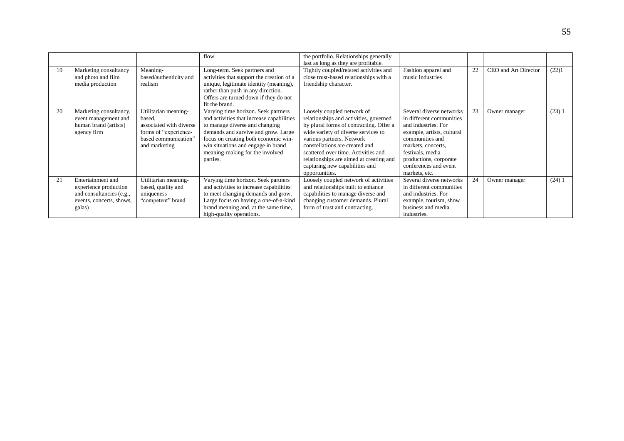|    |                                                                                                              |                                                                                                                             | flow.                                                                                                                                                                                                                                                                                  | the portfolio. Relationships generally<br>last as long as they are profitable.                                                                                                                                                                                                                                                                              |                                                                                                                                                                                                                                            |    |                      |          |
|----|--------------------------------------------------------------------------------------------------------------|-----------------------------------------------------------------------------------------------------------------------------|----------------------------------------------------------------------------------------------------------------------------------------------------------------------------------------------------------------------------------------------------------------------------------------|-------------------------------------------------------------------------------------------------------------------------------------------------------------------------------------------------------------------------------------------------------------------------------------------------------------------------------------------------------------|--------------------------------------------------------------------------------------------------------------------------------------------------------------------------------------------------------------------------------------------|----|----------------------|----------|
| 19 | Marketing consultancy<br>and photo and film<br>media production                                              | Meaning-<br>based/authenticity and<br>realism                                                                               | Long-term. Seek partners and<br>activities that support the creation of a<br>unique, legitimate identity (meaning),<br>rather than push in any direction.<br>Offers are turned down if they do not<br>fit the brand.                                                                   | Tightly coupled/related activities and<br>close trust-based relationships with a<br>friendship character.                                                                                                                                                                                                                                                   | Fashion apparel and<br>music industries                                                                                                                                                                                                    | 22 | CEO and Art Director | (22)1    |
| 20 | Marketing consultancy,<br>event management and<br>human brand (artists)<br>agency firm                       | Utilitarian meaning-<br>based.<br>associated with diverse<br>forms of "experience-<br>based communication"<br>and marketing | Varying time horizon. Seek partners<br>and activities that increase capabilities<br>to manage diverse and changing<br>demands and survive and grow. Large<br>focus on creating both economic win-<br>win situations and engage in brand<br>meaning-making for the involved<br>parties. | Loosely coupled network of<br>relationships and activities, governed<br>by plural forms of contracting. Offer a<br>wide variety of diverse services to<br>various partners. Network<br>constellations are created and<br>scattered over time. Activities and<br>relationships are aimed at creating and<br>capturing new capabilities and<br>opportunities. | Several diverse networks<br>in different communities<br>and industries. For<br>example, artists, cultural<br>communities and<br>markets, concerts,<br>festivals, media<br>productions, corporate<br>conferences and event<br>markets, etc. | 23 | Owner manager        | (23)1    |
| 21 | Entertainment and<br>experience production<br>and consultancies (e.g.,<br>events, concerts, shows,<br>galas) | Utilitarian meaning-<br>based, quality and<br>uniqueness<br>"competent" brand                                               | Varying time horizon. Seek partners<br>and activities to increase capabilities<br>to meet changing demands and grow.<br>Large focus on having a one-of-a-kind<br>brand meaning and, at the same time,<br>high-quality operations.                                                      | Loosely coupled network of activities<br>and relationships built to enhance<br>capabilities to manage diverse and<br>changing customer demands. Plural<br>form of trust and contracting.                                                                                                                                                                    | Several diverse networks<br>in different communities<br>and industries. For<br>example, tourism, show<br>business and media<br>industries.                                                                                                 | 24 | Owner manager        | $(24)$ 1 |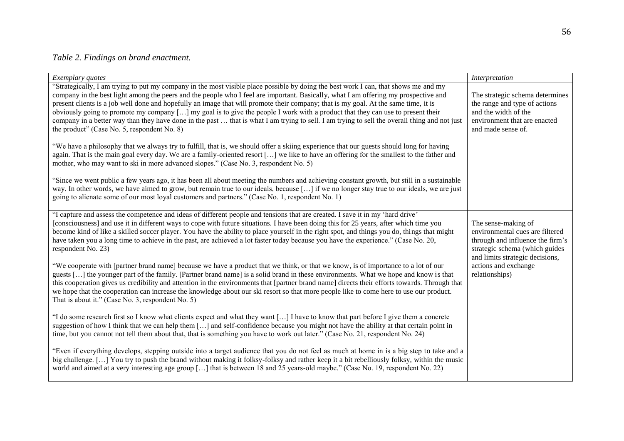## *Table 2. Findings on brand enactment.*

| Exemplary quotes                                                                                                                                                                                                                                                                                                                                                                                                                                                                                                                                                                                                                                                                                                                                     | Interpretation                                                                                                                                                  |
|------------------------------------------------------------------------------------------------------------------------------------------------------------------------------------------------------------------------------------------------------------------------------------------------------------------------------------------------------------------------------------------------------------------------------------------------------------------------------------------------------------------------------------------------------------------------------------------------------------------------------------------------------------------------------------------------------------------------------------------------------|-----------------------------------------------------------------------------------------------------------------------------------------------------------------|
| "Strategically, I am trying to put my company in the most visible place possible by doing the best work I can, that shows me and my<br>company in the best light among the peers and the people who I feel are important. Basically, what I am offering my prospective and<br>present clients is a job well done and hopefully an image that will promote their company; that is my goal. At the same time, it is<br>obviously going to promote my company [] my goal is to give the people I work with a product that they can use to present their<br>company in a better way than they have done in the past  that is what I am trying to sell. I am trying to sell the overall thing and not just<br>the product" (Case No. 5, respondent No. 8) | The strategic schema determines<br>the range and type of actions<br>and the width of the<br>environment that are enacted<br>and made sense of.                  |
| "We have a philosophy that we always try to fulfill, that is, we should offer a skiing experience that our guests should long for having<br>again. That is the main goal every day. We are a family-oriented resort [] we like to have an offering for the smallest to the father and<br>mother, who may want to ski in more advanced slopes." (Case No. 3, respondent No. 5)                                                                                                                                                                                                                                                                                                                                                                        |                                                                                                                                                                 |
| "Since we went public a few years ago, it has been all about meeting the numbers and achieving constant growth, but still in a sustainable<br>way. In other words, we have aimed to grow, but remain true to our ideals, because [] if we no longer stay true to our ideals, we are just<br>going to alienate some of our most loyal customers and partners." (Case No. 1, respondent No. 1)                                                                                                                                                                                                                                                                                                                                                         |                                                                                                                                                                 |
| "I capture and assess the competence and ideas of different people and tensions that are created. I save it in my 'hard drive'<br>[consciousness] and use it in different ways to cope with future situations. I have been doing this for 25 years, after which time you<br>become kind of like a skilled soccer player. You have the ability to place yourself in the right spot, and things you do, things that might<br>have taken you a long time to achieve in the past, are achieved a lot faster today because you have the experience." (Case No. 20,<br>respondent No. 23)                                                                                                                                                                  | The sense-making of<br>environmental cues are filtered<br>through and influence the firm's<br>strategic schema (which guides<br>and limits strategic decisions, |
| "We cooperate with [partner brand name] because we have a product that we think, or that we know, is of importance to a lot of our<br>guests [] the younger part of the family. [Partner brand name] is a solid brand in these environments. What we hope and know is that<br>this cooperation gives us credibility and attention in the environments that [partner brand name] directs their efforts towards. Through that<br>we hope that the cooperation can increase the knowledge about our ski resort so that more people like to come here to use our product.<br>That is about it." (Case No. 3, respondent No. 5)                                                                                                                           | actions and exchange<br>relationships)                                                                                                                          |
| "I do some research first so I know what clients expect and what they want [] I have to know that part before I give them a concrete<br>suggestion of how I think that we can help them [] and self-confidence because you might not have the ability at that certain point in<br>time, but you cannot not tell them about that, that is something you have to work out later." (Case No. 21, respondent No. 24)                                                                                                                                                                                                                                                                                                                                     |                                                                                                                                                                 |
| "Even if everything develops, stepping outside into a target audience that you do not feel as much at home in is a big step to take and a<br>big challenge. [] You try to push the brand without making it folksy-folksy and rather keep it a bit rebelliously folksy, within the music<br>world and aimed at a very interesting age group [] that is between 18 and 25 years-old maybe." (Case No. 19, respondent No. 22)                                                                                                                                                                                                                                                                                                                           |                                                                                                                                                                 |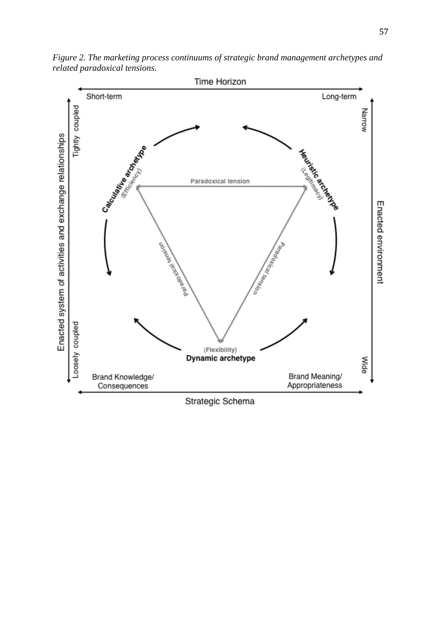

*Figure 2. The marketing process continuums of strategic brand management archetypes and related paradoxical tensions.*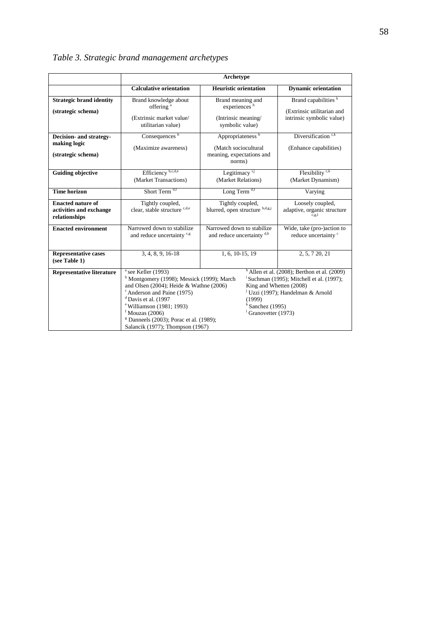|                                              |                                                                                                                                                                                                                                                                           | Archetype                                                |                                                                                   |                                                                                                                                                        |
|----------------------------------------------|---------------------------------------------------------------------------------------------------------------------------------------------------------------------------------------------------------------------------------------------------------------------------|----------------------------------------------------------|-----------------------------------------------------------------------------------|--------------------------------------------------------------------------------------------------------------------------------------------------------|
|                                              | <b>Calculative orientation</b>                                                                                                                                                                                                                                            | <b>Heuristic orientation</b>                             |                                                                                   | <b>Dynamic orientation</b>                                                                                                                             |
| <b>Strategic brand identity</b>              | Brand knowledge about<br>offering <sup>a</sup>                                                                                                                                                                                                                            | Brand meaning and<br>experiences <sup>h</sup>            |                                                                                   | Brand capabilities k                                                                                                                                   |
| (strategic schema)                           | (Extrinsic market value/<br>utilitarian value)                                                                                                                                                                                                                            | (Intrinsic meaning/<br>symbolic value)                   |                                                                                   | (Extrinsic utilitarian and<br>intrinsic symbolic value)                                                                                                |
| Decision- and strategy-                      | Consequences <sup>b</sup>                                                                                                                                                                                                                                                 | Appropriateness <sup>b</sup>                             |                                                                                   | Diversification <sup>c,k</sup>                                                                                                                         |
| making logic                                 | (Maximize awareness)                                                                                                                                                                                                                                                      | (Match sociocultural                                     |                                                                                   | (Enhance capabilities)                                                                                                                                 |
| (strategic schema)                           |                                                                                                                                                                                                                                                                           | meaning, expectations and<br>norms)                      |                                                                                   |                                                                                                                                                        |
| <b>Guiding objective</b>                     | Efficiency <sup>b,c,d,e</sup>                                                                                                                                                                                                                                             | Legitimacy <sup>i,j</sup>                                |                                                                                   | Flexibility <sup>c,k</sup>                                                                                                                             |
|                                              | (Market Transactions)                                                                                                                                                                                                                                                     | (Market Relations)                                       |                                                                                   | (Market Dynamism)                                                                                                                                      |
| <b>Time horizon</b>                          | Short Term <sup>d,f</sup>                                                                                                                                                                                                                                                 | Long Term d,f                                            |                                                                                   | Varying                                                                                                                                                |
| <b>Enacted nature of</b>                     | Tightly coupled,                                                                                                                                                                                                                                                          | Tightly coupled,                                         |                                                                                   | Loosely coupled,                                                                                                                                       |
| activities and exchange<br>relationships     | clear, stable structure c,d,e                                                                                                                                                                                                                                             | blurred, open structure b,d,g,j                          |                                                                                   | adaptive, organic structure                                                                                                                            |
| <b>Enacted environment</b>                   | Narrowed down to stabilize<br>and reduce uncertainty <sup>c,g</sup>                                                                                                                                                                                                       | Narrowed down to stabilize<br>and reduce uncertainty d,b |                                                                                   | Wide, take (pro-)action to<br>reduce uncertainty c                                                                                                     |
|                                              |                                                                                                                                                                                                                                                                           |                                                          |                                                                                   |                                                                                                                                                        |
| <b>Representative cases</b><br>(see Table 1) | $3, 4, 8, 9, 16-18$                                                                                                                                                                                                                                                       | 1, 6, 10-15, 19                                          |                                                                                   | 2, 5, 7, 20, 21                                                                                                                                        |
| <b>Representative literature</b>             | $a$ see Keller (1993)<br><sup>b</sup> Montgomery (1998); Messick (1999); March<br>and Olsen $(2004)$ ; Heide & Wathne $(2006)$<br><sup>c</sup> Anderson and Paine (1975)<br><sup>d</sup> Davis et al. (1997<br>$\textdegree$ Williamson (1981; 1993)<br>$f$ Mouzas (2006) |                                                          | King and Whetten (2008)<br>(1999)<br>$k$ Sanchez (1995)<br>$1$ Granovetter (1973) | $h$ Allen et al. (2008); Berthon et al. (2009)<br><sup>i</sup> Suchman (1995); Mitchell et al. (1997);<br><sup>j</sup> Uzzi (1997); Handelman & Arnold |
|                                              | $\text{g}$ Danneels (2003); Porac et al. (1989);<br>Salancik (1977); Thompson (1967)                                                                                                                                                                                      |                                                          |                                                                                   |                                                                                                                                                        |

*Table 3. Strategic brand management archetypes*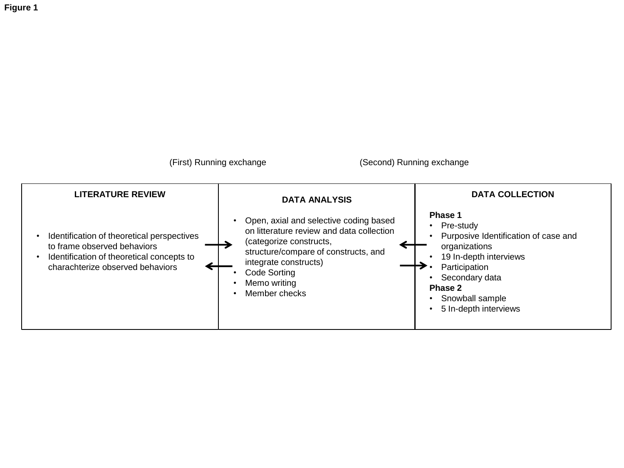**Figure 1**



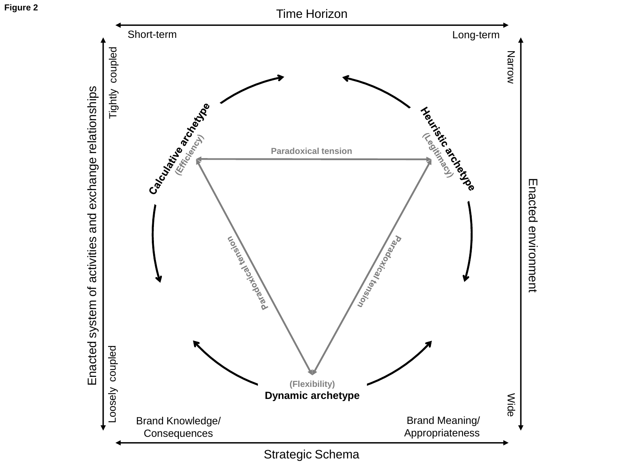

Strategic Schema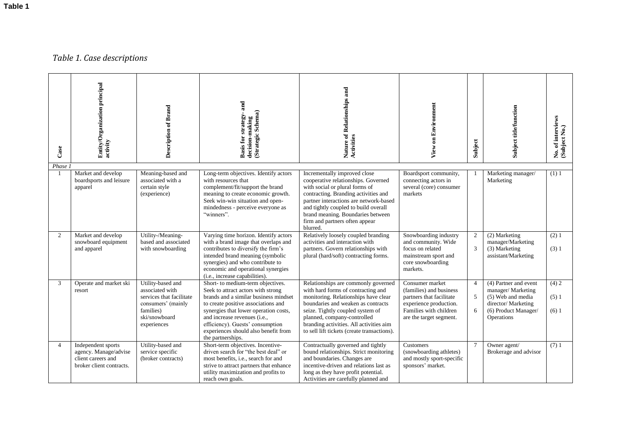# *Table 1. Case descriptions*

| Case<br>Phase 1 | Entity/Organization principal<br>activity                                                     | Description of Brand                                                                                                                | Basis for strategy- and<br>(Strategic Schema)<br>decision-making                                                                                                                                                                                                                                                                  | Nature of Relationships and<br>Activities                                                                                                                                                                                                                                                                            | View on Environment                                                                                                                                   | Subject                  | Subject title/function                                                                                                      | No. of interviews<br>(Subject No.) |
|-----------------|-----------------------------------------------------------------------------------------------|-------------------------------------------------------------------------------------------------------------------------------------|-----------------------------------------------------------------------------------------------------------------------------------------------------------------------------------------------------------------------------------------------------------------------------------------------------------------------------------|----------------------------------------------------------------------------------------------------------------------------------------------------------------------------------------------------------------------------------------------------------------------------------------------------------------------|-------------------------------------------------------------------------------------------------------------------------------------------------------|--------------------------|-----------------------------------------------------------------------------------------------------------------------------|------------------------------------|
|                 | Market and develop<br>boardsports and leisure<br>apparel                                      | Meaning-based and<br>associated with a<br>certain style<br>(experience)                                                             | Long-term objectives. Identify actors<br>with resources that<br>complement/fit/support the brand<br>meaning to create economic growth.<br>Seek win-win situation and open-<br>mindedness - perceive everyone as<br>"winners".                                                                                                     | Incrementally improved close<br>cooperative relationships. Governed<br>with social or plural forms of<br>contracting. Branding activities and<br>partner interactions are network-based<br>and tightly coupled to build overall<br>brand meaning. Boundaries between<br>firm and partners often appear<br>blurred.   | Boardsport community,<br>connecting actors in<br>several (core) consumer<br>markets                                                                   |                          | Marketing manager/<br>Marketing                                                                                             | $(1)$ 1                            |
| 2               | Market and develop<br>snowboard equipment<br>and apparel                                      | Utility-/Meaning-<br>based and associated<br>with snowboarding                                                                      | Varying time horizon. Identify actors<br>with a brand image that overlaps and<br>contributes to diversify the firm's<br>intended brand meaning (symbolic<br>synergies) and who contribute to<br>economic and operational synergies<br>(i.e., increase capabilities).                                                              | Relatively loosely coupled branding<br>activities and interaction with<br>partners. Govern relationships with<br>plural (hard/soft) contracting forms.                                                                                                                                                               | Snowboarding industry<br>and community. Wide<br>focus on related<br>mainstream sport and<br>core snowboarding<br>markets.                             | $\overline{c}$<br>3      | (2) Marketing<br>manager/Marketing<br>(3) Marketing<br>assistant/Marketing                                                  | $(2)$ 1<br>(3) 1                   |
| 3               | Operate and market ski<br>resort                                                              | Utility-based and<br>associated with<br>services that facilitate<br>consumers' (mainly<br>families)<br>ski/snowboard<br>experiences | Short- to medium-term objectives.<br>Seek to attract actors with strong<br>brands and a similar business mindset<br>to create positive associations and<br>synergies that lower operation costs,<br>and increase revenues (i.e.,<br>efficiency). Guests' consumption<br>experiences should also benefit from<br>the partnerships. | Relationships are commonly governed<br>with hard forms of contracting and<br>monitoring. Relationships have clear<br>boundaries and weaken as contracts<br>seize. Tightly coupled system of<br>planned, company-controlled<br>branding activities. All activities aim<br>to sell lift tickets (create transactions). | Consumer market<br>(families) and business<br>partners that facilitate<br>experience production.<br>Families with children<br>are the target segment. | $\overline{4}$<br>5<br>6 | (4) Partner and event<br>manager/Marketing<br>(5) Web and media<br>director/Marketing<br>(6) Product Manager/<br>Operations | (4) 2<br>(5)1<br>(6)1              |
| $\overline{4}$  | Independent sports<br>agency. Manage/advise<br>client careers and<br>broker client contracts. | Utility-based and<br>service specific<br>(broker contracts)                                                                         | Short-term objectives. Incentive-<br>driven search for "the best deal" or<br>most benefits, i.e., search for and<br>strive to attract partners that enhance<br>utility maximization and profits to<br>reach own goals.                                                                                                            | Contractually governed and tightly<br>bound relationships. Strict monitoring<br>and boundaries. Changes are<br>incentive-driven and relations last as<br>long as they have profit potential.<br>Activities are carefully planned and                                                                                 | <b>Customers</b><br>(snowboarding athletes)<br>and mostly sport-specific<br>sponsors' market.                                                         | $7\phantom{.0}$          | Owner agent/<br>Brokerage and advisor                                                                                       | (7)1                               |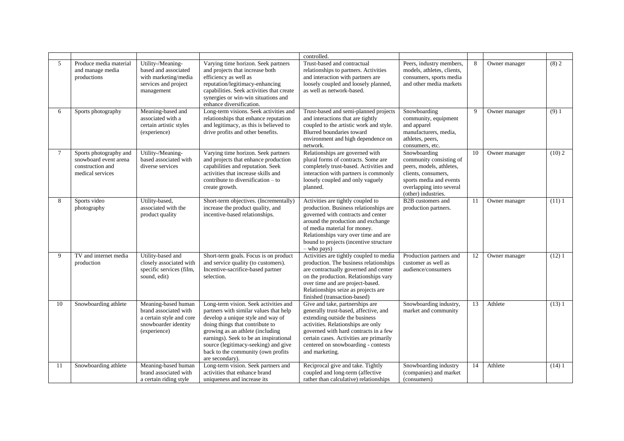|    |                                                                                         |                                                                                                                  |                                                                                                                                                                                                                                                                                                                                        | controlled.                                                                                                                                                                                                                                                                                   |                                                                                                                                                                          |    |               |        |
|----|-----------------------------------------------------------------------------------------|------------------------------------------------------------------------------------------------------------------|----------------------------------------------------------------------------------------------------------------------------------------------------------------------------------------------------------------------------------------------------------------------------------------------------------------------------------------|-----------------------------------------------------------------------------------------------------------------------------------------------------------------------------------------------------------------------------------------------------------------------------------------------|--------------------------------------------------------------------------------------------------------------------------------------------------------------------------|----|---------------|--------|
| 5  | Produce media material<br>and manage media<br>productions                               | Utility-/Meaning-<br>based and associated<br>with marketing/media<br>services and project<br>management          | Varying time horizon. Seek partners<br>and projects that increase both<br>efficiency as well as<br>reputation/legitimacy-enhancing<br>capabilities. Seek activities that create<br>synergies or win-win situations and<br>enhance diversification.                                                                                     | Trust-based and contractual<br>relationships to partners. Activities<br>and interaction with partners are<br>loosely coupled and loosely planned,<br>as well as network-based.                                                                                                                | Peers, industry members,<br>models, athletes, clients,<br>consumers, sports media<br>and other media markets                                                             | 8  | Owner manager | (8) 2  |
| 6  | Sports photography                                                                      | Meaning-based and<br>associated with a<br>certain artistic styles<br>(experience)                                | Long-term visions. Seek activities and<br>relationships that enhance reputation<br>and legitimacy, as this is believed to<br>drive profits and other benefits.                                                                                                                                                                         | Trust-based and semi-planned projects<br>and interactions that are tightly<br>coupled to the artistic work and style.<br>Blurred boundaries toward<br>environment and high dependence on<br>network.                                                                                          | Snowboarding<br>community, equipment<br>and apparel<br>manufacturers, media,<br>athletes, peers,<br>consumers, etc.                                                      | 9  | Owner manager | (9)1   |
| 7  | Sports photography and<br>snowboard event arena<br>construction and<br>medical services | Utility-/Meaning-<br>based associated with<br>diverse services                                                   | Varying time horizon. Seek partners<br>and projects that enhance production<br>capabilities and reputation. Seek<br>activities that increase skills and<br>contribute to diversification - to<br>create growth.                                                                                                                        | Relationships are governed with<br>plural forms of contracts. Some are<br>completely trust-based. Activities and<br>interaction with partners is commonly<br>loosely coupled and only vaguely<br>planned.                                                                                     | Snowboarding<br>community consisting of<br>peers, models, athletes,<br>clients, consumers,<br>sports media and events<br>overlapping into several<br>(other) industries. | 10 | Owner manager | (10) 2 |
| 8  | Sports video<br>photography                                                             | Utility-based,<br>associated with the<br>product quality                                                         | Short-term objectives. (Incrementally)<br>increase the product quality, and<br>incentive-based relationships.                                                                                                                                                                                                                          | Activities are tightly coupled to<br>production. Business relationships are<br>governed with contracts and center<br>around the production and exchange<br>of media material for money.<br>Relationships vary over time and are<br>bound to projects (incentive structure<br>- who pays)      | B2B customers and<br>production partners.                                                                                                                                | 11 | Owner manager | (11)1  |
| 9  | TV and internet media<br>production                                                     | Utility-based and<br>closely associated with<br>specific services (film,<br>sound, edit)                         | Short-term goals. Focus is on product<br>and service quality (to customers).<br>Incentive-sacrifice-based partner<br>selection.                                                                                                                                                                                                        | Activities are tightly coupled to media<br>production. The business relationships<br>are contractually governed and center<br>on the production. Relationships vary<br>over time and are project-based.<br>Relationships seize as projects are<br>finished (transaction-based)                | Production partners and<br>customer as well as<br>audience/consumers                                                                                                     | 12 | Owner manager | (12)1  |
| 10 | Snowboarding athlete                                                                    | Meaning-based human<br>brand associated with<br>a certain style and core<br>snowboarder identity<br>(experience) | Long-term vision. Seek activities and<br>partners with similar values that help<br>develop a unique style and way of<br>doing things that contribute to<br>growing as an athlete (including<br>earnings). Seek to be an inspirational<br>source (legitimacy-seeking) and give<br>back to the community (own profits<br>are secondary). | Give and take, partnerships are<br>generally trust-based, affective, and<br>extending outside the business<br>activities. Relationships are only<br>governed with hard contracts in a few<br>certain cases. Activities are primarily<br>centered on snowboarding - contests<br>and marketing. | Snowboarding industry,<br>market and community                                                                                                                           | 13 | Athlete       | (13)1  |
| 11 | Snowboarding athlete                                                                    | Meaning-based human<br>brand associated with<br>a certain riding style                                           | Long-term vision. Seek partners and<br>activities that enhance brand<br>uniqueness and increase its                                                                                                                                                                                                                                    | Reciprocal give and take. Tightly<br>coupled and long-term (affective<br>rather than calculative) relationships                                                                                                                                                                               | Snowboarding industry<br>(companies) and market<br>(consumers)                                                                                                           | 14 | Athlete       | (14)1  |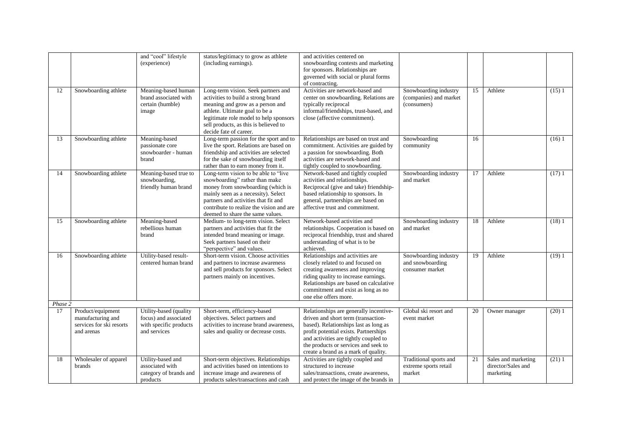|         |                                                                                  | and "cool" lifestyle<br>(experience)                                                      | status/legitimacy to grow as athlete<br>(including earnings).                                                                                                                                                                                                               | and activities centered on<br>snowboarding contests and marketing<br>for sponsors. Relationships are<br>governed with social or plural forms<br>of contracting.                                                                                                                          |                                                                |                 |                                                        |       |
|---------|----------------------------------------------------------------------------------|-------------------------------------------------------------------------------------------|-----------------------------------------------------------------------------------------------------------------------------------------------------------------------------------------------------------------------------------------------------------------------------|------------------------------------------------------------------------------------------------------------------------------------------------------------------------------------------------------------------------------------------------------------------------------------------|----------------------------------------------------------------|-----------------|--------------------------------------------------------|-------|
| 12      | Snowboarding athlete                                                             | Meaning-based human<br>brand associated with<br>certain (humble)<br>image                 | Long-term vision. Seek partners and<br>activities to build a strong brand<br>meaning and grow as a person and<br>athlete. Ultimate goal to be a<br>legitimate role model to help sponsors<br>sell products, as this is believed to<br>decide fate of career.                | Activities are network-based and<br>center on snowboarding. Relations are<br>typically reciprocal<br>informal/friendships, trust-based, and<br>close (affective commitment).                                                                                                             | Snowboarding industry<br>(companies) and market<br>(consumers) | 15              | Athlete                                                | (15)1 |
| 13      | Snowboarding athlete                                                             | Meaning-based<br>passionate core<br>snowboarder - human<br>brand                          | Long-term passion for the sport and to<br>live the sport. Relations are based on<br>friendship and activities are selected<br>for the sake of snowboarding itself<br>rather than to earn money from it.                                                                     | Relationships are based on trust and<br>commitment. Activities are guided by<br>a passion for snowboarding. Both<br>activities are network-based and<br>tightly coupled to snowboarding.                                                                                                 | Snowboarding<br>community                                      | 16              |                                                        | (16)1 |
| 14      | Snowboarding athlete                                                             | Meaning-based true to<br>snowboarding,<br>friendly human brand                            | Long-term vision to be able to "live"<br>snowboarding" rather than make<br>money from snowboarding (which is<br>mainly seen as a necessity). Select<br>partners and activities that fit and<br>contribute to realize the vision and are<br>deemed to share the same values. | Network-based and tightly coupled<br>activities and relationships.<br>Reciprocal (give and take) friendship-<br>based relationship to sponsors. In<br>general, partnerships are based on<br>affective trust and commitment.                                                              | Snowboarding industry<br>and market                            | $\overline{17}$ | Athlete                                                | (17)1 |
| 15      | Snowboarding athlete                                                             | Meaning-based<br>rebellious human<br>brand                                                | Medium- to long-term vision. Select<br>partners and activities that fit the<br>intended brand meaning or image.<br>Seek partners based on their<br>"perspective" and values.                                                                                                | Network-based activities and<br>relationships. Cooperation is based on<br>reciprocal friendship, trust and shared<br>understanding of what is to be<br>achieved.                                                                                                                         | Snowboarding industry<br>and market                            | 18              | Athlete                                                | (18)1 |
| 16      | Snowboarding athlete                                                             | Utility-based result-<br>centered human brand                                             | Short-term vision. Choose activities<br>and partners to increase awareness<br>and sell products for sponsors. Select<br>partners mainly on incentives.                                                                                                                      | Relationships and activities are<br>closely related to and focused on<br>creating awareness and improving<br>riding quality to increase earnings.<br>Relationships are based on calculative<br>commitment and exist as long as no<br>one else offers more.                               | Snowboarding industry<br>and snowboarding<br>consumer market   | 19              | Athlete                                                | (19)1 |
| Phase 2 |                                                                                  |                                                                                           |                                                                                                                                                                                                                                                                             |                                                                                                                                                                                                                                                                                          |                                                                |                 |                                                        |       |
| 17      | Product/equipment<br>manufacturing and<br>services for ski resorts<br>and arenas | Utility-based (quality<br>focus) and associated<br>with specific products<br>and services | Short-term, efficiency-based<br>objectives. Select partners and<br>activities to increase brand awareness,<br>sales and quality or decrease costs.                                                                                                                          | Relationships are generally incentive-<br>driven and short term (transaction-<br>based). Relationships last as long as<br>profit potential exists. Partnerships<br>and activities are tightly coupled to<br>the products or services and seek to<br>create a brand as a mark of quality. | Global ski resort and<br>event market                          | 20              | Owner manager                                          | (20)1 |
| 18      | Wholesaler of apparel<br>brands                                                  | Utility-based and<br>associated with<br>category of brands and<br>products                | Short-term objectives. Relationships<br>and activities based on intentions to<br>increase image and awareness of<br>products sales/transactions and cash                                                                                                                    | Activities are tightly coupled and<br>structured to increase<br>sales/transactions, create awareness,<br>and protect the image of the brands in                                                                                                                                          | Traditional sports and<br>extreme sports retail<br>market      | 21              | Sales and marketing<br>director/Sales and<br>marketing | (21)1 |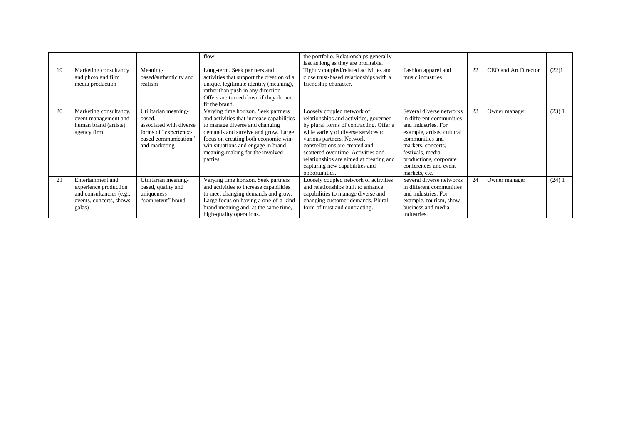|    |                                                                                                              |                                                                                                                             | flow.                                                                                                                                                                                                                                                                                  | the portfolio. Relationships generally<br>last as long as they are profitable.                                                                                                                                                                                                                                                                              |                                                                                                                                                                                                                                            |    |                      |          |
|----|--------------------------------------------------------------------------------------------------------------|-----------------------------------------------------------------------------------------------------------------------------|----------------------------------------------------------------------------------------------------------------------------------------------------------------------------------------------------------------------------------------------------------------------------------------|-------------------------------------------------------------------------------------------------------------------------------------------------------------------------------------------------------------------------------------------------------------------------------------------------------------------------------------------------------------|--------------------------------------------------------------------------------------------------------------------------------------------------------------------------------------------------------------------------------------------|----|----------------------|----------|
| 19 | Marketing consultancy<br>and photo and film<br>media production                                              | Meaning-<br>based/authenticity and<br>realism                                                                               | Long-term. Seek partners and<br>activities that support the creation of a<br>unique, legitimate identity (meaning),<br>rather than push in any direction.<br>Offers are turned down if they do not<br>fit the brand.                                                                   | Tightly coupled/related activities and<br>close trust-based relationships with a<br>friendship character.                                                                                                                                                                                                                                                   | Fashion apparel and<br>music industries                                                                                                                                                                                                    | 22 | CEO and Art Director | (22)1    |
| 20 | Marketing consultancy,<br>event management and<br>human brand (artists)<br>agency firm                       | Utilitarian meaning-<br>based,<br>associated with diverse<br>forms of "experience-<br>based communication"<br>and marketing | Varying time horizon. Seek partners<br>and activities that increase capabilities<br>to manage diverse and changing<br>demands and survive and grow. Large<br>focus on creating both economic win-<br>win situations and engage in brand<br>meaning-making for the involved<br>parties. | Loosely coupled network of<br>relationships and activities, governed<br>by plural forms of contracting. Offer a<br>wide variety of diverse services to<br>various partners. Network<br>constellations are created and<br>scattered over time. Activities and<br>relationships are aimed at creating and<br>capturing new capabilities and<br>opportunities. | Several diverse networks<br>in different communities<br>and industries. For<br>example, artists, cultural<br>communities and<br>markets, concerts,<br>festivals, media<br>productions, corporate<br>conferences and event<br>markets, etc. | 23 | Owner manager        | (23)1    |
| 21 | Entertainment and<br>experience production<br>and consultancies (e.g.,<br>events, concerts, shows,<br>galas) | Utilitarian meaning-<br>based, quality and<br>uniqueness<br>"competent" brand                                               | Varying time horizon. Seek partners<br>and activities to increase capabilities<br>to meet changing demands and grow.<br>Large focus on having a one-of-a-kind<br>brand meaning and, at the same time,<br>high-quality operations.                                                      | Loosely coupled network of activities<br>and relationships built to enhance<br>capabilities to manage diverse and<br>changing customer demands. Plural<br>form of trust and contracting.                                                                                                                                                                    | Several diverse networks<br>in different communities<br>and industries. For<br>example, tourism, show<br>business and media<br>industries.                                                                                                 | 24 | Owner manager        | $(24)$ 1 |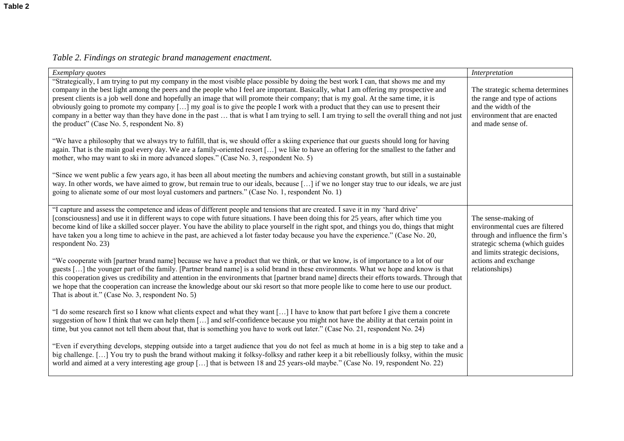| Exemplary quotes                                                                                                                                                                                                                                                                                                                                                                                                                                                                                                                                                                                                                                                                                                                                     | Interpretation                                                                                                                                                  |
|------------------------------------------------------------------------------------------------------------------------------------------------------------------------------------------------------------------------------------------------------------------------------------------------------------------------------------------------------------------------------------------------------------------------------------------------------------------------------------------------------------------------------------------------------------------------------------------------------------------------------------------------------------------------------------------------------------------------------------------------------|-----------------------------------------------------------------------------------------------------------------------------------------------------------------|
| "Strategically, I am trying to put my company in the most visible place possible by doing the best work I can, that shows me and my<br>company in the best light among the peers and the people who I feel are important. Basically, what I am offering my prospective and<br>present clients is a job well done and hopefully an image that will promote their company; that is my goal. At the same time, it is<br>obviously going to promote my company [] my goal is to give the people I work with a product that they can use to present their<br>company in a better way than they have done in the past  that is what I am trying to sell. I am trying to sell the overall thing and not just<br>the product" (Case No. 5, respondent No. 8) | The strategic schema determines<br>the range and type of actions<br>and the width of the<br>environment that are enacted<br>and made sense of.                  |
| "We have a philosophy that we always try to fulfill, that is, we should offer a skiing experience that our guests should long for having<br>again. That is the main goal every day. We are a family-oriented resort [] we like to have an offering for the smallest to the father and<br>mother, who may want to ski in more advanced slopes." (Case No. 3, respondent No. 5)                                                                                                                                                                                                                                                                                                                                                                        |                                                                                                                                                                 |
| "Since we went public a few years ago, it has been all about meeting the numbers and achieving constant growth, but still in a sustainable<br>way. In other words, we have aimed to grow, but remain true to our ideals, because [] if we no longer stay true to our ideals, we are just<br>going to alienate some of our most loyal customers and partners." (Case No. 1, respondent No. 1)                                                                                                                                                                                                                                                                                                                                                         |                                                                                                                                                                 |
| "I capture and assess the competence and ideas of different people and tensions that are created. I save it in my 'hard drive'<br>[consciousness] and use it in different ways to cope with future situations. I have been doing this for 25 years, after which time you<br>become kind of like a skilled soccer player. You have the ability to place yourself in the right spot, and things you do, things that might<br>have taken you a long time to achieve in the past, are achieved a lot faster today because you have the experience." (Case No. 20,<br>respondent No. 23)                                                                                                                                                                  | The sense-making of<br>environmental cues are filtered<br>through and influence the firm's<br>strategic schema (which guides<br>and limits strategic decisions, |
| "We cooperate with [partner brand name] because we have a product that we think, or that we know, is of importance to a lot of our<br>guests [] the younger part of the family. [Partner brand name] is a solid brand in these environments. What we hope and know is that<br>this cooperation gives us credibility and attention in the environments that [partner brand name] directs their efforts towards. Through that<br>we hope that the cooperation can increase the knowledge about our ski resort so that more people like to come here to use our product.<br>That is about it." (Case No. 3, respondent No. 5)                                                                                                                           | actions and exchange<br>relationships)                                                                                                                          |
| "I do some research first so I know what clients expect and what they want [] I have to know that part before I give them a concrete<br>suggestion of how I think that we can help them $[]$ and self-confidence because you might not have the ability at that certain point in<br>time, but you cannot not tell them about that, that is something you have to work out later." (Case No. 21, respondent No. 24)                                                                                                                                                                                                                                                                                                                                   |                                                                                                                                                                 |
| "Even if everything develops, stepping outside into a target audience that you do not feel as much at home in is a big step to take and a<br>big challenge. [] You try to push the brand without making it folksy-folksy and rather keep it a bit rebelliously folksy, within the music<br>world and aimed at a very interesting age group [] that is between 18 and 25 years-old maybe." (Case No. 19, respondent No. 22)                                                                                                                                                                                                                                                                                                                           |                                                                                                                                                                 |